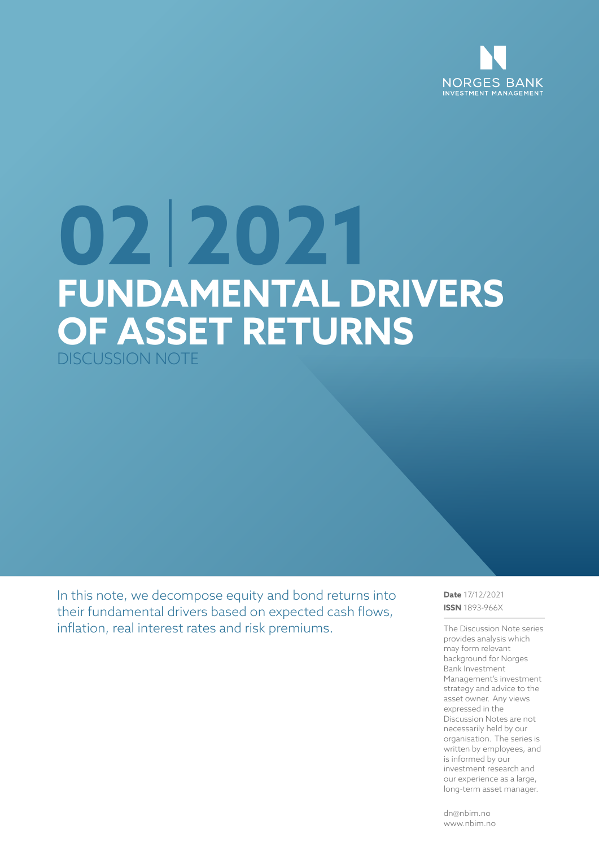

# **02 2021 FUNDAMENTAL DRIVERS OF ASSET RETURNS** DISCUSSION NOTE

In this note, we decompose equity and bond returns into their fundamental drivers based on expected cash flows, inflation, real interest rates and risk premiums.

**Date** 17/12/2021 **ISSN** 1893-966X

The Discussion Note series provides analysis which may form relevant background for Norges Bank Investment Management's investment strategy and advice to the asset owner. Any views expressed in the Discussion Notes are not necessarily held by our organisation. The series is written by employees, and is informed by our investment research and our experience as a large, long-term asset manager.

dn@nbim.no www.nbim.no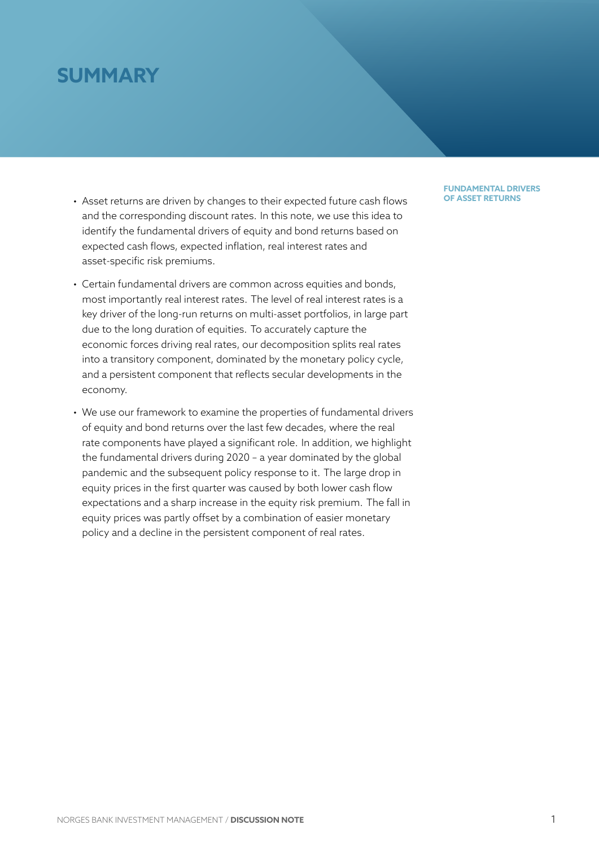# **SUMMARY**

- Asset returns are driven by changes to their expected future cash flows and the corresponding discount rates. In this note, we use this idea to identify the fundamental drivers of equity and bond returns based on expected cash flows, expected inflation, real interest rates and asset-specific risk premiums.
- Certain fundamental drivers are common across equities and bonds, most importantly real interest rates. The level of real interest rates is a key driver of the long-run returns on multi-asset portfolios, in large part due to the long duration of equities. To accurately capture the economic forces driving real rates, our decomposition splits real rates into a transitory component, dominated by the monetary policy cycle, and a persistent component that reflects secular developments in the economy.
- We use our framework to examine the properties of fundamental drivers of equity and bond returns over the last few decades, where the real rate components have played a significant role. In addition, we highlight the fundamental drivers during 2020 – a year dominated by the global pandemic and the subsequent policy response to it. The large drop in equity prices in the first quarter was caused by both lower cash flow expectations and a sharp increase in the equity risk premium. The fall in equity prices was partly offset by a combination of easier monetary policy and a decline in the persistent component of real rates.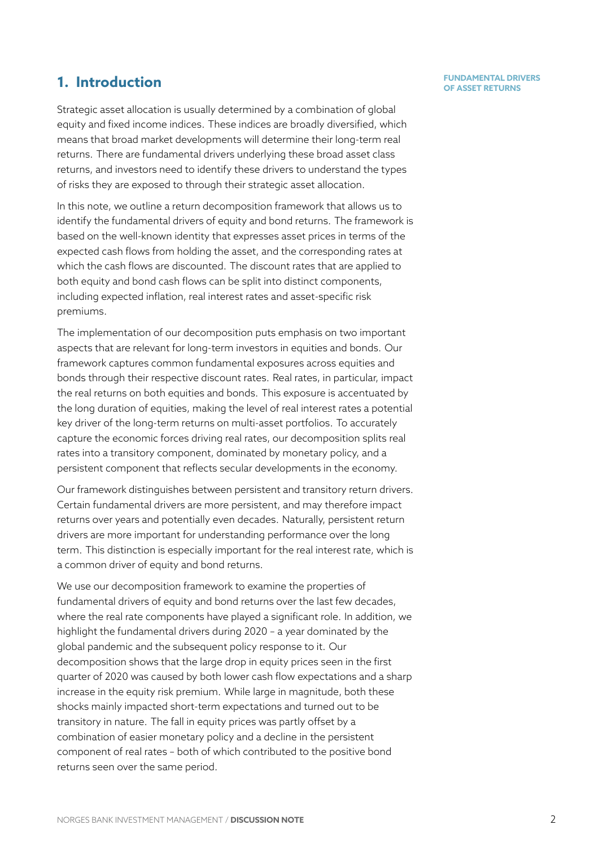# **1.** Introduction

Strategic asset allocation is usually determined by a combination of global equity and fixed income indices. These indices are broadly diversified, which means that broad market developments will determine their long-term real returns. There are fundamental drivers underlying these broad asset class returns, and investors need to identify these drivers to understand the types of risks they are exposed to through their strategic asset allocation.

In this note, we outline a return decomposition framework that allows us to identify the fundamental drivers of equity and bond returns. The framework is based on the well-known identity that expresses asset prices in terms of the expected cash flows from holding the asset, and the corresponding rates at which the cash flows are discounted. The discount rates that are applied to both equity and bond cash flows can be split into distinct components, including expected inflation, real interest rates and asset-specific risk premiums.

The implementation of our decomposition puts emphasis on two important aspects that are relevant for long-term investors in equities and bonds. Our framework captures common fundamental exposures across equities and bonds through their respective discount rates. Real rates, in particular, impact the real returns on both equities and bonds. This exposure is accentuated by the long duration of equities, making the level of real interest rates a potential key driver of the long-term returns on multi-asset portfolios. To accurately capture the economic forces driving real rates, our decomposition splits real rates into a transitory component, dominated by monetary policy, and a persistent component that reflects secular developments in the economy.

Our framework distinguishes between persistent and transitory return drivers. Certain fundamental drivers are more persistent, and may therefore impact returns over years and potentially even decades. Naturally, persistent return drivers are more important for understanding performance over the long term. This distinction is especially important for the real interest rate, which is a common driver of equity and bond returns.

We use our decomposition framework to examine the properties of fundamental drivers of equity and bond returns over the last few decades, where the real rate components have played a significant role. In addition, we highlight the fundamental drivers during 2020 – a year dominated by the global pandemic and the subsequent policy response to it. Our decomposition shows that the large drop in equity prices seen in the first quarter of 2020 was caused by both lower cash flow expectations and a sharp increase in the equity risk premium. While large in magnitude, both these shocks mainly impacted short-term expectations and turned out to be transitory in nature. The fall in equity prices was partly offset by a combination of easier monetary policy and a decline in the persistent component of real rates – both of which contributed to the positive bond returns seen over the same period.

# **FUNDAMENTAL DRIVERS**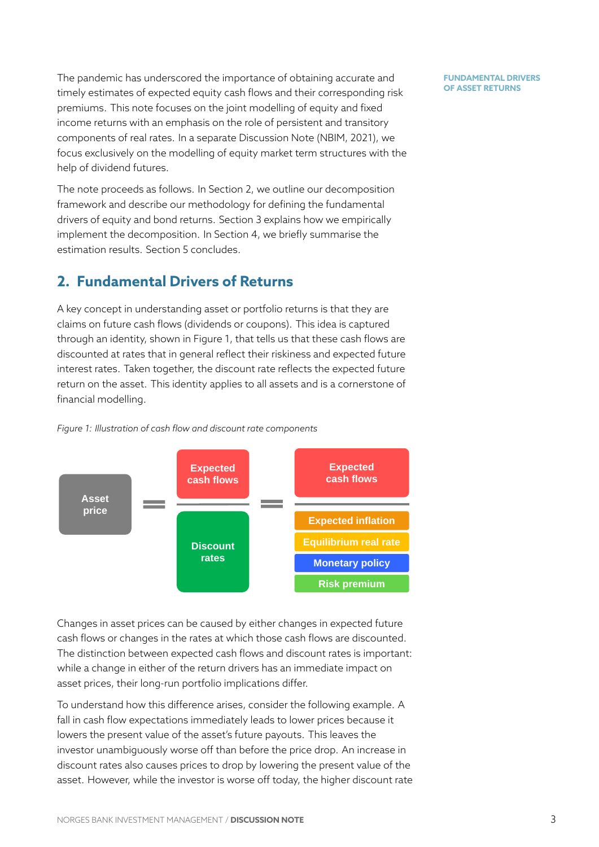The pandemic has underscored the importance of obtaining accurate and timely estimates of expected equity cash flows and their corresponding risk premiums. This note focuses on the joint modelling of equity and fixed income returns with an emphasis on the role of persistent and transitory components of real rates. In a separate Discussion Note (NBIM, 2021), we focus exclusively on the modelling of equity market term structures with the help of dividend futures.

The note proceeds as follows. In Section 2, we outline ou[r decompos](#page-25-0)ition framework and describe our methodology for defining the fundamental drivers of equity and bond returns. Section 3 explains how we empirically implement the decomposition. In Sectio[n](#page-3-0) 4, we briefly summarise the estimation results. Section 5 concludes.

# **2. Fundamental Drivers of R[et](#page-18-0)urns**

<span id="page-3-0"></span>A key concept in understan[di](#page-22-0)ng asset or portfolio returns is that they are claims on future cash flows (dividends or coupons). This idea is captured through an identity, shown in Figure 1, that tells us that these cash flows are discounted at rates that in general reflect their riskiness and expected future interest rates. Taken together, the discount rate reflects the expected future return on the asset. This identity ap[pli](#page-3-1)es to all assets and is a cornerstone of financial modelling.

<span id="page-3-1"></span>



Changes in asset prices can be caused by either changes in expected future cash flows or changes in the rates at which those cash flows are discounted. The distinction between expected cash flows and discount rates is important: while a change in either of the return drivers has an immediate impact on asset prices, their long-run portfolio implications differ.

To understand how this difference arises, consider the following example. A fall in cash flow expectations immediately leads to lower prices because it lowers the present value of the asset's future payouts. This leaves the investor unambiguously worse off than before the price drop. An increase in discount rates also causes prices to drop by lowering the present value of the asset. However, while the investor is worse off today, the higher discount rate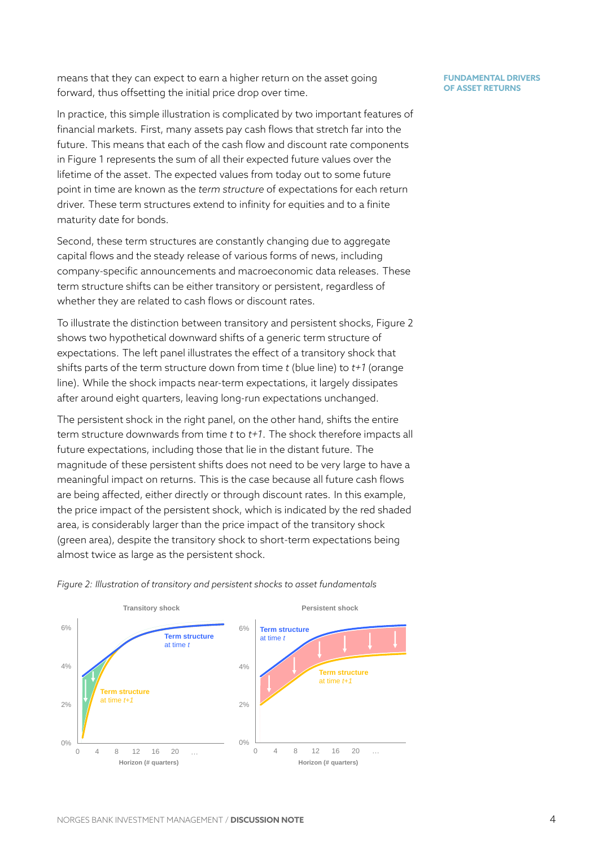means that they can expect to earn a higher return on the asset going forward, thus offsetting the initial price drop over time.

In practice, this simple illustration is complicated by two important features of financial markets. First, many assets pay cash flows that stretch far into the future. This means that each of the cash flow and discount rate components in Figure 1 represents the sum of all their expected future values over the lifetime of the asset. The expected values from today out to some future point in time are known as the *term structure* of expectations for each return driver. T[he](#page-3-1)se term structures extend to infinity for equities and to a finite maturity date for bonds.

Second, these term structures are constantly changing due to aggregate capital flows and the steady release of various forms of news, including company-specific announcements and macroeconomic data releases. These term structure shifts can be either transitory or persistent, regardless of whether they are related to cash flows or discount rates.

To illustrate the distinction between transitory and persistent shocks, Figure 2 shows two hypothetical downward shifts of a generic term structure of expectations. The left panel illustrates the effect of a transitory shock that shifts parts of the term structure down from time *t* (blue line) to *t+1* (orange line). While the shock impacts near-term expectations, it largely dissipates after around eight quarters, leaving long-run expectations unchanged.

The persistent shock in the right panel, on the other hand, shifts the entire term structure downwards from time *t* to *t+1*. The shock therefore impacts all future expectations, including those that lie in the distant future. The magnitude of these persistent shifts does not need to be very large to have a meaningful impact on returns. This is the case because all future cash flows are being affected, either directly or through discount rates. In this example, the price impact of the persistent shock, which is indicated by the red shaded area, is considerably larger than the price impact of the transitory shock (green area), despite the transitory shock to short-term expectations being almost twice as large as the persistent shock.



*Figure 2: Illustration of transitory and persistent shocks to asset fundamentals*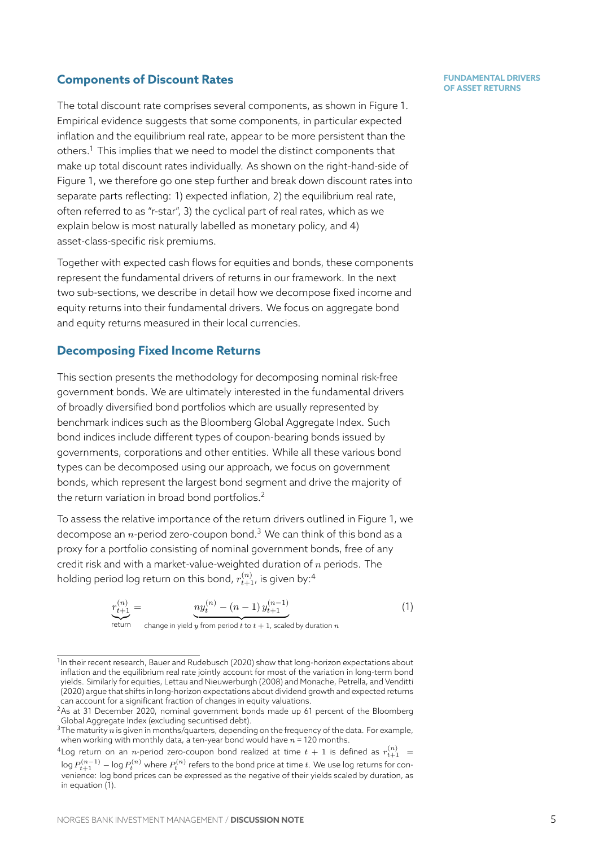### **Components of Discount Rates**

The total discount rate comprises several components, as shown in Figure 1. Empirical evidence suggests that some components, in particular expected inflation and the equilibrium real rate, appear to be more persistent than the others.<sup>1</sup> This implies that we need to model the distinct components that make up total discount rates individually. As shown on the right-hand-side [of](#page-3-1) Figure 1, we therefore go one step further and break down discount rates into separa[te](#page-5-0) parts reflecting: 1) expected inflation, 2) the equilibrium real rate, often referred to as "r-star", 3) the cyclical part of real rates, which as we explai[n b](#page-3-1)elow is most naturally labelled as monetary policy, and 4) asset-class-specific risk premiums.

Together with expected cash flows for equities and bonds, these components represent the fundamental drivers of returns in our framework. In the next two sub-sections, we describe in detail how we decompose fixed income and equity returns into their fundamental drivers. We focus on aggregate bond and equity returns measured in their local currencies.

### **Decomposing Fixed Income Returns**

This section presents the methodology for decomposing nominal risk-free government bonds. We are ultimately interested in the fundamental drivers of broadly diversified bond portfolios which are usually represented by benchmark indices such as the Bloomberg Global Aggregate Index. Such bond indices include different types of coupon-bearing bonds issued by governments, corporations and other entities. While all these various bond types can be decomposed using our approach, we focus on government bonds, which represent the largest bond segment and drive the majority of the return variation in broad bond portfolios.<sup>2</sup>

To assess the relative importance of the return drivers outlined in Figure 1, we decompose an *n*-period zero-coupon bond.<sup>3</sup> We can think of this bond as a proxy for a portfolio consisting of nominal g[ov](#page-5-1)ernment bonds, free of any credit risk and with a market-value-weighted duration of *n* periods. The holding period log return on this bond,  $r_{t+1}^{(n)}$ [, i](#page-5-2)s given by:<sup>4</sup>

$$
r_{t+1}^{(n)} = \underbrace{ny_t^{(n)} - (n-1)y_{t+1}^{(n-1)}} \tag{1}
$$

<span id="page-5-4"></span>return  $\overline{z}$  change in yield *y* from period *t* to  $t + 1$ , scaled by d[ur](#page-5-3)ation *n* 

<span id="page-5-3"></span><span id="page-5-2"></span><span id="page-5-1"></span> $^4$ Log return on an  $n$ -period zero-coupon bond realized at time  $t+1$  is defined as  $r_{t+1}^{(n)}$   $\,$   $\,$  $\log P_{t+1}^{(n-1)}$   $-$  log  $P_{t}^{(n)}$  where  $P_{t}^{(n)}$  refers to the bond price at time  $t.$  We use log returns for convenience: log bond prices can be expressed as the negative of their yields scaled by duration, as in equation (1).

<sup>&</sup>lt;sup>1</sup>In their recent research, Bauer and Rudebusch (2020) show that long-horizon expectations about inflation and the equilibrium real rate jointly account for most of the variation in long-term bond yields. Similarly for equities, Lettau and Nieuwerburgh (2008) and Monache, Petrella, and Venditti (2020) argue that shifts in long-horizon expectations about dividend growth and expected returns can account for a significant fraction of changes in equity valuations.

<span id="page-5-0"></span><sup>&</sup>lt;sup>2</sup>As at 31 December 20[20, nominal government bon](#page-24-0)ds made up 61 percent of the Bloomberg Global Aggregate Index (excluding securitised debt).

<sup>3</sup>The maturity *n* is given in m[onths/quarters, depending on the](#page-24-1) freq[uency of the data. For example,](#page-25-1) [when](#page-25-1) working with monthly data, a ten-year bond would have *n* = 120 months.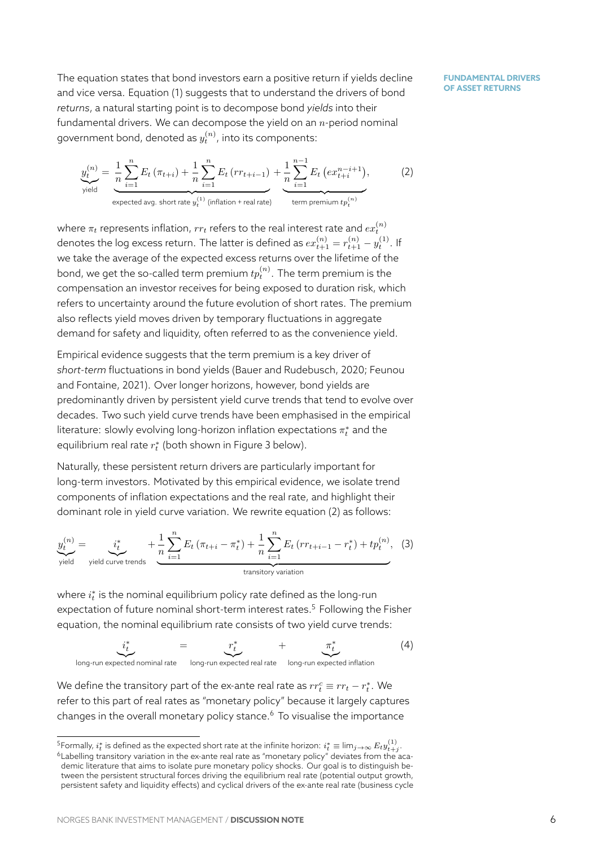The equation states that bond investors earn a positive return if yields decline and vice versa. Equation (1) suggests that to understand the drivers of bond *returns*, a natural starting point is to decompose bond *yields* into their fundamental drivers. We can decompose the yield on an *n*-period nominal government bond, denot[ed](#page-5-4) as  $y_t^{(n)}$ , into its components:

$$
\underbrace{y_t^{(n)}}_{\text{yield}} = \underbrace{\frac{1}{n} \sum_{i=1}^n E_t \left( \pi_{t+i} \right) + \frac{1}{n} \sum_{i=1}^n E_t \left( rr_{t+i-1} \right)}_{\text{expected avg. short rate } y_t^{(1)} \text{ (inflation + real rate)}} + \underbrace{\frac{1}{n} \sum_{i=1}^{n-1} E_t \left( ex_{t+i}^{n-i+1} \right)}_{\text{term premium } tp_t^{(n)}},\tag{2}
$$

where  $\pi_t$  represents inflation,  $rr_t$  refers to the real interest rate and  $ex_t^{(n)}$ denotes the log excess return. The latter is defined as  $ex_{t+1}^{(n)} = r_{t+1}^{(n)} - y_t^{(1)}.$  If we take the average of the expected excess returns over the lifetime of the bond, we get the so-called term premium  $tp_t^{(n)}.$  The term premium is the compensation an investor receives for being exposed to duration risk, which refers to uncertainty around the future evolution of short rates. The premium also reflects yield moves driven by temporary fluctuations in aggregate demand for safety and liquidity, often referred to as the convenience yield.

Empirical evidence suggests that the term premium is a key driver of *short-term* fluctuations in bond yields (Bauer and Rudebusch, 2020; Feunou and Fontaine, 2021). Over longer horizons, however, bond yields are predominantly driven by persistent yield curve trends that tend to evolve over decades. Two such yield curve trends [have been emphasised in the](#page-24-0) [empirica](#page-24-2)l [literature: slowly ev](#page-24-2)olving long-horizon inflation expectations *π ∗ <sup>t</sup>* and the equilibrium real rate *r ∗ t* (both shown in Figure 3 below).

Naturally, these persistent return drivers are particularly important for long-term investors. Motivated by this empirical evidence, we isolate trend components of inflation expectations and th[e r](#page-7-0)eal rate, and highlight their dominant role in yield curve variation. We rewrite equation (2) as follows:

$$
\underbrace{y_t^{(n)}}_{\text{yield curve trends}} = \underbrace{i_t^*}_{\text{yield curve trends}} + \underbrace{\frac{1}{n} \sum_{i=1}^n E_t \left( \pi_{t+i} - \pi_t^* \right)}_{\text{transitory variation}} + \underbrace{\frac{1}{n} \sum_{i=1}^n E_t \left( rr_{t+i-1} - r_t^* \right) + tp_t^{(n)}}_{\text{transitory variation}}, \tag{3}
$$

<span id="page-6-2"></span>where *i ∗ t* is the nominal equilibrium policy rate defined as the long-run expectation of future nominal short-term interest rates.<sup>5</sup> Following the Fisher equation, the nominal equilibrium rate consists of two yield curve trends:

$$
\underbrace{i_t^*}_{\text{long-run expected nominal rate}} = \underbrace{r_t^*}_{\text{long-run expected inflation}} + \underbrace{\pi_t^*}_{\text{long-run expected inflation}} \tag{4}
$$

We define the transitory part of the ex-ante real rate as  $rr_t^c \equiv rr_t - r_t^*$ . We refer to this part of real rates as "monetary policy" because it largely captures changes in the overall monetary policy stance. $6$  To visualise the importance

 $^5$ Formally,  $i_t^*$  is defined as the expected short rate at the infinite horizon:  $i_t^*\equiv\lim_{j\to\infty} E_t y^{(1)}_{t+j}$ .

<span id="page-6-1"></span><span id="page-6-0"></span> $^6$ Labelling transitory variation in the ex-ante real rate as "monetary policy" deviates from the academic literature that aims to isolate pure monetary polic[y](#page-6-1) shocks. Our goal is to distinguish between the persistent structural forces driving the equilibrium real rate (potential output growth, persistent safety and liquidity effects) and cyclical drivers of the ex-ante real rate (business cycle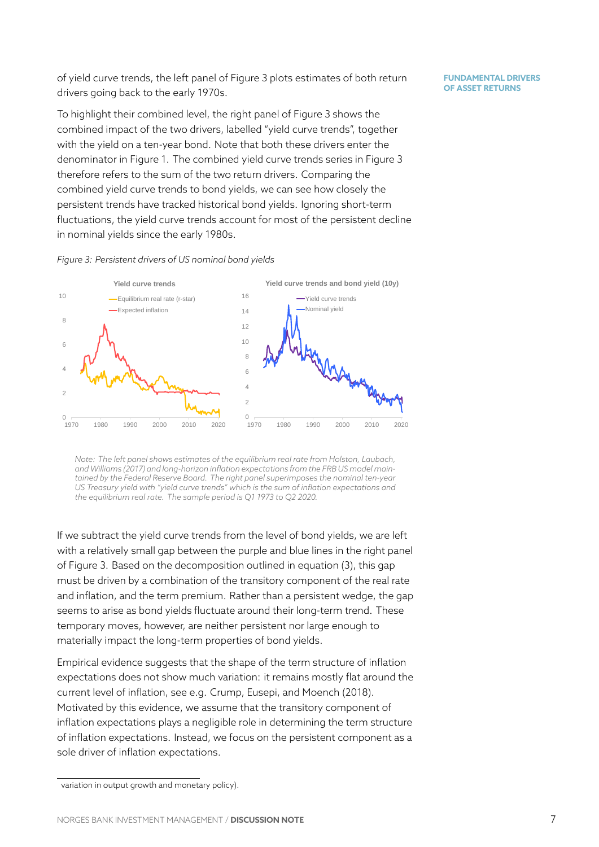of yield curve trends, the left panel of Figure 3 plots estimates of both return drivers going back to the early 1970s.

To highlight their combined level, the right panel of Figure 3 shows the combined impact of the two drivers, labelle[d "](#page-7-0)yield curve trends", together with the yield on a ten-year bond. Note that both these drivers enter the denominator in Figure 1. The combined yield curve trends [s](#page-7-0)eries in Figure 3 therefore refers to the sum of the two return drivers. Comparing the combined yield curve trends to bond yields, we can see how closely the persistent trends have [tr](#page-3-1)acked historical bond yields. Ignoring short-term fluctuations, the yield curve trends account for most of the persistent dec[lin](#page-7-0)e in nominal yields since the early 1980s.



<span id="page-7-0"></span>

*Note: The left panel shows estimates of the equilibrium real rate from Holston, Laubach, and Williams (2017) and long-horizon inflation expectations from the FRB US model maintained by the Federal Reserve Board. The right panel superimposes the nominal ten-year US Treasury yield with "yield curve trends" which is the sum of inflation expectations and the equilibrium real rate. The sample period is Q1 1973 to Q2 2020.*

If we subtract the yield curve trends from the level of bond yields, we are left with a relatively small gap between the purple and blue lines in the right panel of Figure 3. Based on the decomposition outlined in equation (3), this gap must be driven by a combination of the transitory component of the real rate and inflation, and the term premium. Rather than a persistent wedge, the gap seems to [a](#page-7-0)rise as bond yields fluctuate around their long-term [tr](#page-6-2)end. These temporary moves, however, are neither persistent nor large enough to materially impact the long-term properties of bond yields.

Empirical evidence suggests that the shape of the term structure of inflation expectations does not show much variation: it remains mostly flat around the current level of inflation, see e.g. Crump, Eusepi, and Moench (2018). Motivated by this evidence, we assume that the transitory component of inflation expectations plays a negligible role in determining the term structure of inflation expectations. Instead[, we focus on the persistent compo](#page-24-3)nent as a sole driver of inflation expectations.

variation in output growth and monetary policy).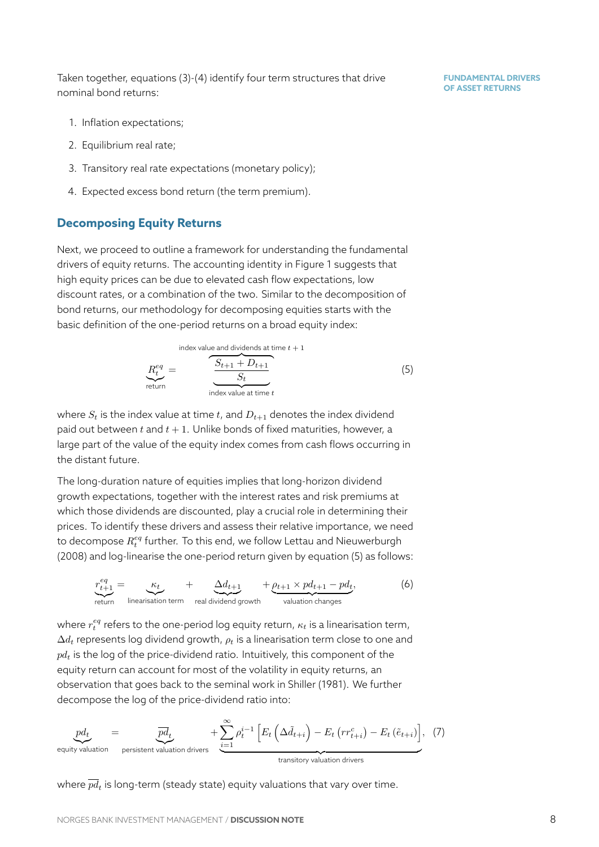Taken together, equations (3)-(4) identify four term structures that drive nominal bond returns:

- 1. Inflation expectations[;](#page-6-2)
- 2. Equilibrium real rate;
- 3. Transitory real rate expectations (monetary policy);
- 4. Expected excess bond return (the term premium).

# **Decomposing Equity Returns**

Next, we proceed to outline a framework for understanding the fundamental drivers of equity returns. The accounting identity in Figure 1 suggests that high equity prices can be due to elevated cash flow expectations, low discount rates, or a combination of the two. Similar to the decomposition of bond returns, our methodology for decomposing equities [st](#page-3-1)arts with the basic definition of the one-period returns on a broad equity index:

<span id="page-8-2"></span>index value and dividends at time 
$$
t + 1
$$
  
\n
$$
R_t^{eq} = \frac{S_{t+1} + D_{t+1}}{S_t}
$$
\n(5)  
\nreturn  
\nindex value at time  $t$ 

where  $S_t$  is the index value at time  $t$ , and  $D_{t+1}$  denotes the index dividend paid out between  $t$  and  $t + 1$ . Unlike bonds of fixed maturities, however, a large part of the value of the equity index comes from cash flows occurring in the distant future.

The long-duration nature of equities implies that long-horizon dividend growth expectations, together with the interest rates and risk premiums at which those dividends are discounted, play a crucial role in determining their prices. To identify these drivers and assess their relative importance, we need to decompose  $R_t^{eq}$  further. To this end, we follow Lettau and Nieuwerburgh (2008) and log-linearise the one-period return given by equation (5) as follows:

$$
r_{t+1}^{eq} = \underbrace{\kappa_t}_{\text{iteration term}} + \underbrace{\Delta d_{t+1}}_{\text{real dividend growth}} + \underbrace{\rho_{t+1} \times p d_{t+1} - p d_t}_{\text{valuation changes}},
$$
(6)

<span id="page-8-1"></span>where  $r_t^{eq}$  refers to the one-period log equity return,  $\kappa_t$  is a linearisation term, ∆*d<sup>t</sup>* represents log dividend growth, *ρ<sup>t</sup>* is a linearisation term close to one and *pd<sup>t</sup>* is the log of the price-dividend ratio. Intuitively, this component of the equity return can account for most of the volatility in equity returns, an observation that goes back to the seminal work in Shiller (1981). We further decompose the log of the price-dividend ratio into:



<span id="page-8-0"></span>where  $\overline{pd}_t$  is long-term (steady state) equity valuations that vary over time.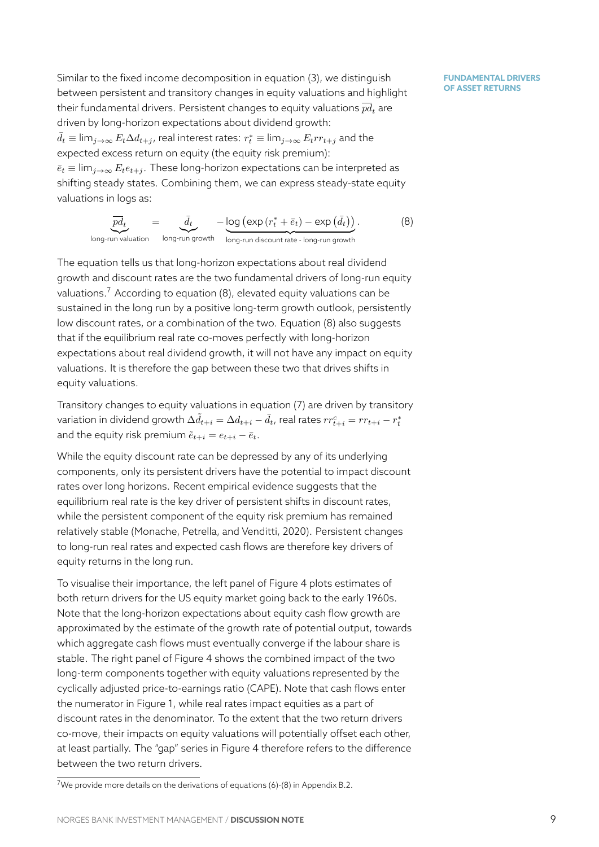Similar to the fixed income decomposition in equation (3), we distinguish between persistent and transitory changes in equity valuations and highlight their fundamental drivers. Persistent changes to equity valuations  $\overline{pd}$ , are driven by long-horizon expectations about dividend gro[w](#page-6-2)th:  $\bar{d}_t \equiv \lim_{j\to\infty} E_t\Delta d_{t+j}$ , real interest rates:  $r_t^*\equiv \lim_{j\to\infty} E_t r r_{t+j}$  and the expected excess return on equity (the equity risk premium):  $\bar{e}_t \equiv \lim_{i \to \infty} E_t e_{t+i}$ . These long-horizon expectations can be interpreted as shifting steady states. Combining them, we can express steady-state equity valuations in logs as:

$$
\underbrace{\overline{pd}_t}_{\text{long-run valuation}} = \underbrace{\overline{d}_t}_{\text{long-run growth}} - \underbrace{\log\left(\exp\left(r_t^* + \overline{e}_t\right) - \exp\left(\overline{d}_t\right)\right)}_{\text{long-run discount rate - long-run growth}}.
$$
\n(8)

<span id="page-9-1"></span>The equation tells us that long-horizon expectations about real dividend growth and discount rates are the two fundamental drivers of long-run equity valuations.<sup>7</sup> According to equation  $(8)$ , elevated equity valuations can be sustained in the long run by a positive long-term growth outlook, persistently low discount rates, or a combination of the two. Equation (8) also suggests that if the [eq](#page-9-0)uilibrium real rate co-m[ov](#page-9-1)es perfectly with long-horizon expectations about real dividend growth, it will not have any impact on equity valuations. It is therefore the gap between these two that [dr](#page-9-1)ives shifts in equity valuations.

Transitory changes to equity valuations in equation (7) are driven by transitory variation in dividend growth  $\Delta \tilde{d}_{t+i}=\Delta d_{t+i}-\bar{d}_{t}$ , real rates  $rr^c_{t+i}=rr_{t+i}-r^*_t$ and the equity risk premium  $\tilde{e}_{t+i} = e_{t+i} - \bar{e}_t$ .

While the equity discount rate can be depressed by [an](#page-8-0)y of its underlying components, only its persistent drivers have the potential to impact discount rates over long horizons. Recent empirical evidence suggests that the equilibrium real rate is the key driver of persistent shifts in discount rates, while the persistent component of the equity risk premium has remained relatively stable (Monache, Petrella, and Venditti, 2020). Persistent changes to long-run real rates and expected cash flows are therefore key drivers of equity returns in the long run.

To visualise their [importance, the left panel of Figure](#page-25-1) 4 plots estimates of both return drivers for the US equity market going back to the early 1960s. Note that the long-horizon expectations about equity cash flow growth are approximated by the estimate of the growth rate of p[ot](#page-10-0)ential output, towards which aggregate cash flows must eventually converge if the labour share is stable. The right panel of Figure 4 shows the combined impact of the two long-term components together with equity valuations represented by the cyclically adjusted price-to-earnings ratio (CAPE). Note that cash flows enter the numerator in Figure 1, while [re](#page-10-0)al rates impact equities as a part of discount rates in the denominator. To the extent that the two return drivers co-move, their impacts on equity valuations will potentially offset each other, at least partially. The "g[ap](#page-3-1)" series in Figure 4 therefore refers to the difference between the two return drivers.

<span id="page-9-0"></span><sup>&</sup>lt;sup>7</sup>We provide more details on the derivations of equations (6)-(8) in Appendix B.2.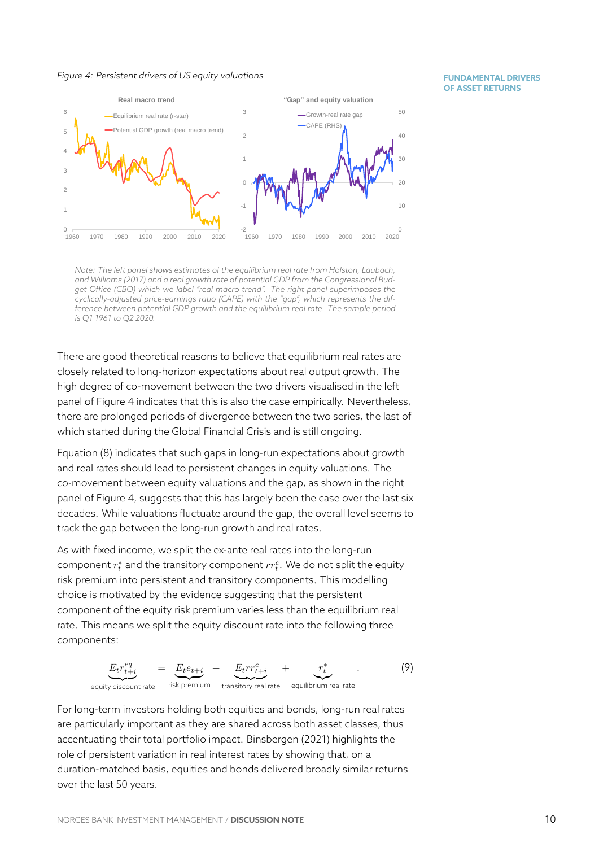#### *Figure 4: Persistent drivers of US equity valuations*

#### **FUNDAMENTAL DRIVERS OF ASSET RETURNS**

<span id="page-10-0"></span>

*Note: The left panel shows estimates of the equilibrium real rate from Holston, Laubach, and Williams (2017) and a real growth rate of potential GDP from the Congressional Budget Office (CBO) which we label "real macro trend". The right panel superimposes the cyclically-adjusted price-earnings ratio (CAPE) with the "gap", which represents the difference between potential GDP growth and the equilibrium real rate. The sample period is Q1 1961 to Q2 2020.*

There are good theoretical reasons to believe that equilibrium real rates are closely related to long-horizon expectations about real output growth. The high degree of co-movement between the two drivers visualised in the left panel of Figure 4 indicates that this is also the case empirically. Nevertheless, there are prolonged periods of divergence between the two series, the last of which started during the Global Financial Crisis and is still ongoing.

Equation (8) in[dic](#page-10-0)ates that such gaps in long-run expectations about growth and real rates should lead to persistent changes in equity valuations. The co-movement between equity valuations and the gap, as shown in the right panel of F[ig](#page-9-1)ure 4, suggests that this has largely been the case over the last six decades. While valuations fluctuate around the gap, the overall level seems to track the gap between the long-run growth and real rates.

As with fixed in[co](#page-10-0)me, we split the ex-ante real rates into the long-run  $\mathsf{component}\ r^*_t$  and the transitory component  $rr^c_t.$  We do not split the equity risk premium into persistent and transitory components. This modelling choice is motivated by the evidence suggesting that the persistent component of the equity risk premium varies less than the equilibrium real rate. This means we split the equity discount rate into the following three components:

$$
\underbrace{E_t r_{t+i}^{eq}}_{\text{equity discount rate}} = \underbrace{E_t e_{t+i}}_{\text{risk premium}} + \underbrace{E_t r r_{t+i}^c}_{\text{transitory real rate}} + \underbrace{r_t^*}_{\text{equilibrium real rate}}.
$$
\n(9)

For long-term investors holding both equities and bonds, long-run real rates are particularly important as they are shared across both asset classes, thus accentuating their total portfolio impact. Binsbergen (2021) highlights the role of persistent variation in real interest rates by showing that, on a duration-matched basis, equities and bonds delivered broadly similar returns over the last 50 years.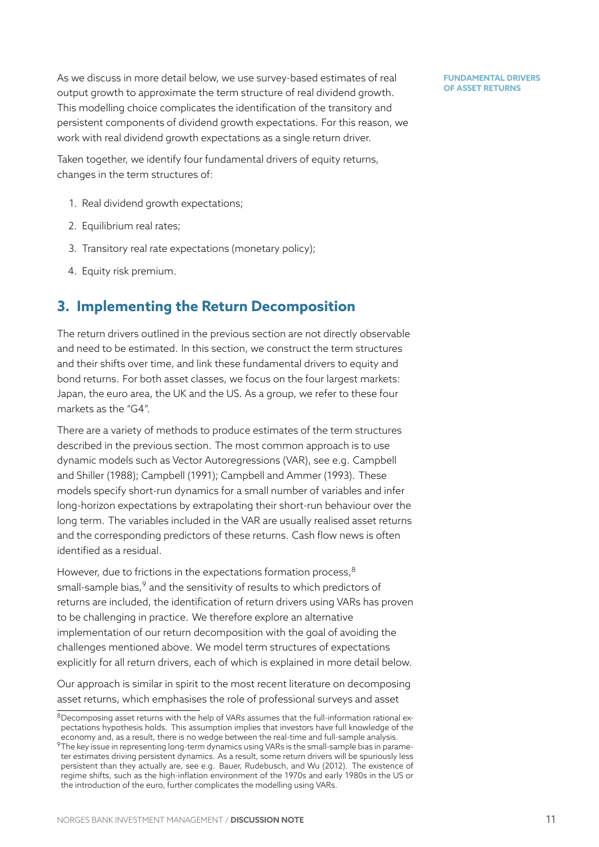As we discuss in more detail below, we use survey-based estimates of real output growth to approximate the term structure of real dividend growth. This modelling choice complicates the identification of the transitory and persistent components of dividend growth expectations. For this reason, we work with real dividend growth expectations as a single return driver.

Taken together, we identify four fundamental drivers of equity returns, changes in the term structures of:

- 1. Real dividend growth expectations;
- 2. Equilibrium real rates;
- 3. Transitory real rate expectations (monetary policy);
- 4. Equity risk premium.

# **3. Implementing the Return Decomposition**

<span id="page-11-0"></span>The return drivers outlined in the previous section are not directly observable and need to be estimated. In this section, we construct the term structures and their shifts over time, and link these fundamental drivers to equity and bond returns. For both asset classes, we focus on the four largest markets: Japan, the euro area, the UK and the US. As a group, we refer to these four markets as the "G4".

There are a variety of methods to produce estimates of the term structures described in the previous section. The most common approach is to use dynamic models such as Vector Autoregressions (VAR), see e.g. Campbell and Shiller (1988); Campbell (1991); Campbell and Ammer (1993). These models specify short-run dynamics for a small number of variables and infer long-horizon expectations by extrapolating their short-run behav[iour over t](#page-24-4)he [long term. The v](#page-24-4)a[riables included](#page-24-5) in [the VAR are usually realised](#page-24-6) asset returns and the corresponding predictors of these returns. Cash flow news is often identified as a residual.

However, due to frictions in the expectations formation process, <sup>8</sup> small-sample bias, $9$  and the sensitivity of results to which predictors of returns are included, the identification of return drivers using VARs has proven to be challenging in practice. We therefore explore an alternativ[e](#page-11-1) implementation o[f o](#page-11-2)ur return decomposition with the goal of avoiding the challenges mentioned above. We model term structures of expectations explicitly for all return drivers, each of which is explained in more detail below.

Our approach is similar in spirit to the most recent literature on decomposing asset returns, which emphasises the role of professional surveys and asset

<sup>8</sup>Decomposing asset returns with the help of VARs assumes that the full-information rational expectations hypothesis holds. This assumption implies that investors have full knowledge of the economy and, as a result, there is no wedge between the real-time and full-sample analysis.

<span id="page-11-2"></span><span id="page-11-1"></span> $9$ The key issue in representing long-term dynamics using VARs is the small-sample bias in parameter estimates driving persistent dynamics. As a result, some return drivers will be spuriously less persistent than they actually are, see e.g. Bauer, Rudebusch, and Wu (2012). The existence of regime shifts, such as the high-inflation environment of the 1970s and early 1980s in the US or the introduction of the euro, further complicates the modelling using VARs.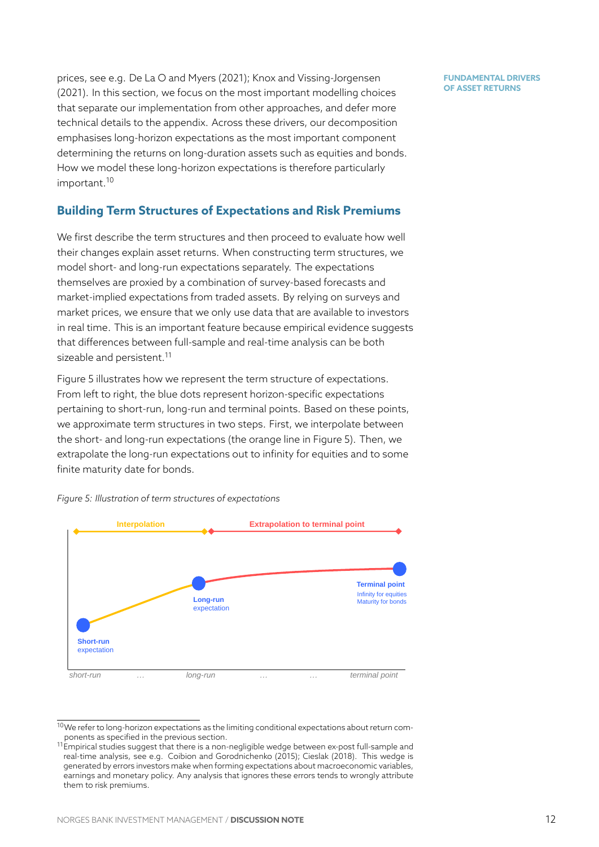prices, see e.g. De La O and Myers (2021); Knox and Vissing-Jorgensen (2021). In this section, we focus on the most important modelling choices that separate our implementation from other approaches, and defer more technical detail[s to the appendix. Across](#page-24-8) t[hese drivers, our decomposit](#page-24-9)ion [emph](#page-24-9)asises long-horizon expectations as the most important component determining the returns on long-duration assets such as equities and bonds. How we model these long-horizon expectations is therefore particularly important.<sup>10</sup>

## **Building Term Structures of Expectations and Risk Premiums**

We first d[esc](#page-12-0)ribe the term structures and then proceed to evaluate how well their changes explain asset returns. When constructing term structures, we model short- and long-run expectations separately. The expectations themselves are proxied by a combination of survey-based forecasts and market-implied expectations from traded assets. By relying on surveys and market prices, we ensure that we only use data that are available to investors in real time. This is an important feature because empirical evidence suggests that differences between full-sample and real-time analysis can be both sizeable and persistent.<sup>11</sup>

Figure 5 illustrates how we represent the term structure of expectations. From left to right, the blue dots represent horizon-specific expectations pertaining to short-run, [lo](#page-12-1)ng-run and terminal points. Based on these points, we ap[pr](#page-12-2)oximate term structures in two steps. First, we interpolate between the short- and long-run expectations (the orange line in Figure 5). Then, we extrapolate the long-run expectations out to infinity for equities and to some finite maturity date for bonds.

<span id="page-12-2"></span>

*Figure 5: Illustration of term structures of expectations*

 $10$ We refer to long-horizon expectations as the limiting conditional expectations about return components as specified in the previous section.

<span id="page-12-1"></span><span id="page-12-0"></span> $^{11}$ Empirical studies suggest that there is a non-negligible wedge between ex-post full-sample and real-time analysis, see e.g. Coibion and Gorodnichenko (2015); Cieslak (2018). This wedge is generated by errors investors make when forming expectations about macroeconomic variables, earnings and monetary policy. Any analysis that ignores these errors tends to wrongly attribute them to risk premiums.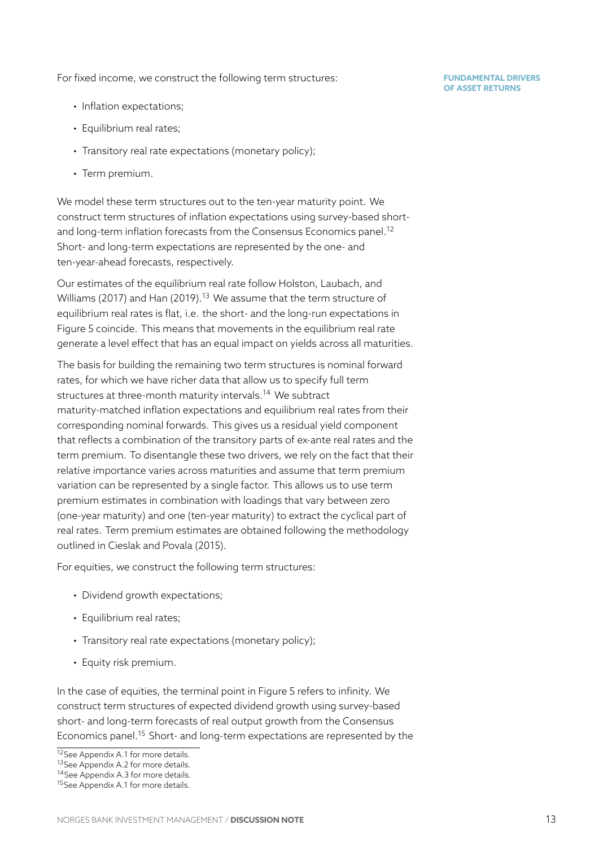For fixed income, we construct the following term structures:

- Inflation expectations;
- Equilibrium real rates;
- Transitory real rate expectations (monetary policy);
- Term premium.

We model these term structures out to the ten-year maturity point. We construct term structures of inflation expectations using survey-based shortand long-term inflation forecasts from the Consensus Economics panel.<sup>12</sup> Short- and long-term expectations are represented by the one- and ten-year-ahead forecasts, respectively.

Our estimates of the equilibrium real rate follow Holston, Laubach, and Williams (2017) and Han (2019).<sup>13</sup> We assume that the term structure of equilibrium real rates is flat, i.e. the short- and the long-run expectations in Figure 5 coincide. This means that movementsi[n the equilibrium real ra](#page-24-10)te [generate a leve](#page-24-10)l eff[ect that has](#page-24-11) [an](#page-13-0) equal impact on yields across all maturities.

The basis for building the remaining two term structures is nominal forward rates, [fo](#page-12-2)r which we have richer data that allow us to specify full term structures at three-month maturity intervals.<sup>14</sup> We subtract maturity-matched inflation expectations and equilibrium real rates from their corresponding nominal forwards. This gives us a residual yield component that reflects a combination of the transitory [pa](#page-13-1)rts of ex-ante real rates and the term premium. To disentangle these two drivers, we rely on the fact that their relative importance varies across maturities and assume that term premium variation can be represented by a single factor. This allows us to use term premium estimates in combination with loadings that vary between zero (one-year maturity) and one (ten-year maturity) to extract the cyclical part of real rates. Term premium estimates are obtained following the methodology outlined in Cieslak and Povala (2015).

For equities, we construct the following term structures:

- Divid[end growth expectations;](#page-24-12)
- Equilibrium real rates;
- Transitory real rate expectations (monetary policy);
- Equity risk premium.

In the case of equities, the terminal point in Figure 5 refers to infinity. We construct term structures of expected dividend growth using survey-based short- and long-term forecasts of real output growth from the Consensus Economics panel.<sup>15</sup> Short- and long-term expectat[io](#page-12-2)ns are represented by the

<sup>12</sup> See Appendix A.1 for more details.

<sup>&</sup>lt;sup>13</sup>See Appendix A.2 for more details.

<sup>&</sup>lt;sup>14</sup> See Appendix A.3 for more details.

<span id="page-13-2"></span><span id="page-13-1"></span><span id="page-13-0"></span><sup>&</sup>lt;sup>15</sup>See Appendix A.1 fo[r m](#page-13-2)ore details.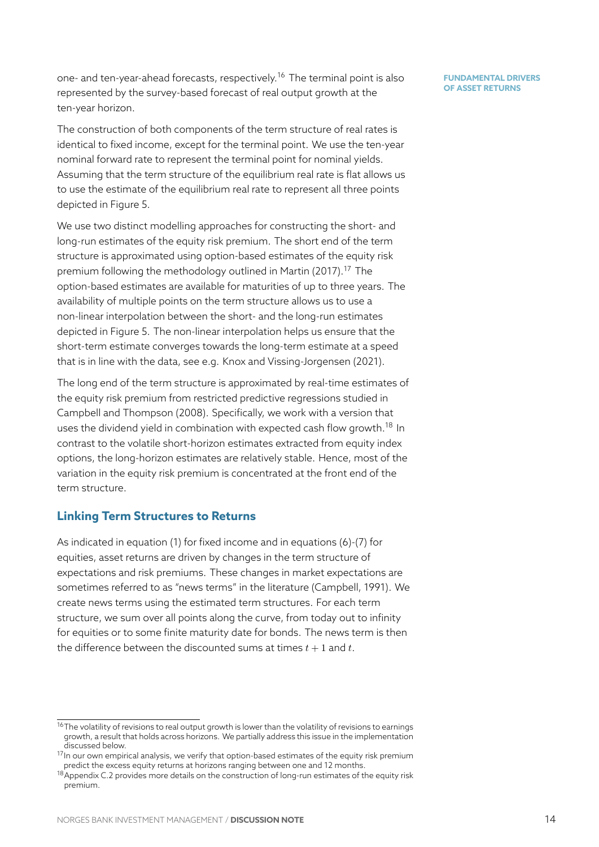one- and ten-year-ahead forecasts, respectively.<sup>16</sup> The terminal point is also represented by the survey-based forecast of real output growth at the ten-year horizon.

The construction of both components of the te[rm](#page-14-0) structure of real rates is identical to fixed income, except for the terminal point. We use the ten-year nominal forward rate to represent the terminal point for nominal yields. Assuming that the term structure of the equilibrium real rate is flat allows us to use the estimate of the equilibrium real rate to represent all three points depicted in Figure 5.

We use two distinct modelling approaches for constructing the short- and long-run estimates of the equity risk premium. The short end of the term structure is appro[xim](#page-12-2)ated using option-based estimates of the equity risk premium following the methodology outlined in Martin (2017).<sup>17</sup> The option-based estimates are available for maturities of up to three years. The availability of multiple points on the term structure allows us to use a non-linear interpolation between the short- and [the long-run](#page-24-13) e[st](#page-14-1)imates depicted in Figure 5. The non-linear interpolation helps us ensure that the short-term estimate converges towards the long-term estimate at a speed that is in line with the data, see e.g. Knox and Vissing-Jorgensen (2021).

The long end of th[e](#page-12-2) term structure is approximated by real-time estimates of the equity risk premium from restricted predictive regressions studied in Campbell and Thompson (2008). S[pecifically, we work with a version t](#page-24-9)hat uses the dividend yield in combination with expected cash flow growth.<sup>18</sup> In contrast to the volatile short-horizon estimates extracted from equity index [options, the long-horizon estima](#page-24-14)tes are relatively stable. Hence, most of the variation in the equity risk premium is concentrated at the front end oft[he](#page-14-2) term structure.

### **Linking Term Structures to Returns**

As indicated in equation (1) for fixed income and in equations (6)-(7) for equities, asset returns are driven by changes in the term structure of expectations and risk premiums. These changes in market expectations are sometimes referred to as ["](#page-5-4)news terms" in the literature (Camp[b](#page-8-1)el[l,](#page-8-0) 1991). We create news terms using the estimated term structures. For each term structure, we sum over all points along the curve, from today out to infinity for equities or to some finite maturity date for bonds. T[he news term is](#page-24-5) then the difference between the discounted sums at times  $t + 1$  and  $t$ .

<sup>&</sup>lt;sup>16</sup>The volatility of revisions to real output growth is lower than the volatility of revisions to earnings growth, a result that holds across horizons. We partially address this issue in the implementation discussed below.

 $17$ In our own empirical analysis, we verify that option-based estimates of the equity risk premium predict the excess equity returns at horizons ranging between one and 12 months.

<span id="page-14-2"></span><span id="page-14-1"></span><span id="page-14-0"></span><sup>&</sup>lt;sup>18</sup>Appendix C.2 provides more details on the construction of long-run estimates of the equity risk premium.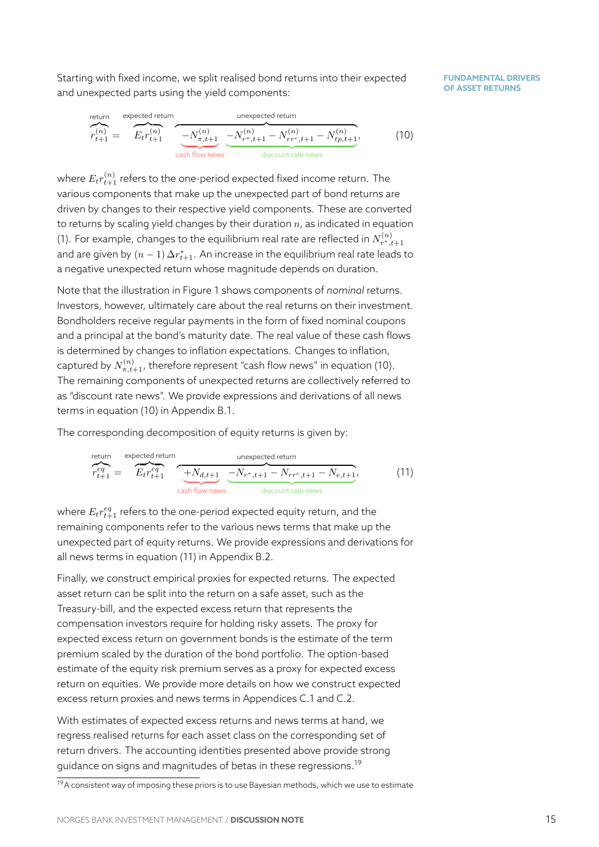Starting with fixed income, we split realised bond returns into their expected and unexpected parts using the yield components:

**FUNDAMENTAL DRIVERS OF ASSET RETURNS**



<span id="page-15-0"></span>where  ${E}_{t}r_{t+1}^{(n)}$  refers to the one-period expected fixed income return. The various components that make up the unexpected part of bond returns are driven by changes to their respective yield components. These are converted to returns by scaling yield changes by their duration *n*, as indicated in equation (1). For example, changes to the equilibrium real rate are reflected in  $N_{r^*,t+1}^{(n)}$ and are given by (*n −* 1) ∆*r ∗ <sup>t</sup>*+1. An increase in the equilibrium real rate leads to a negative unexpected return whose magnitude depends on duration.

[No](#page-5-4)te that the illustration in Figure 1 shows components of *nominal* returns. Investors, however, ultimately care about the real returns on their investment. Bondholders receive regular payments in the form of fixed nominal coupons and a principal at the bond's matu[rit](#page-3-1)y date. The real value of these cash flows is determined by changes to inflation expectations. Changes to inflation, captured by  $N_{\pi,t+1}^{(n)}$ , therefore represent "cash flow news" in equation (10). The remaining components of unexpected returns are collectively referred to as "discount rate news". We provide expressions and derivations of all news terms in equation (10) in Appendix B.1.

The corresponding decomposition of equity returns is given by:

return expected return  
\n
$$
r_{t+1}^{eq} = \overbrace{E_t r_{t+1}^{eq}}^{\text{expected return}} \underbrace{+N_{d,t+1}}_{\text{cash flow news}} \underbrace{-N_{r^*,t+1} - N_{rr^c,t+1} - N_{e,t+1}}_{\text{discount rate news}},
$$
\n(11)

<span id="page-15-1"></span>where  $E_t r_{t+1}^{eq}$  refers to the one-period expected equity return, and the remaining components refer to the various news terms that make up the unexpected part of equity returns. We provide expressions and derivations for all news terms in equation (11) in Appendix B.2.

Finally, we construct empirical proxies for expected returns. The expected asset return can be split into the return on a safe asset, such as the Treasury-bill, and the expec[ted](#page-15-1) excess retu[rn th](#page-27-0)at represents the compensation investors require for holding risky assets. The proxy for expected excess return on government bonds is the estimate of the term premium scaled by the duration of the bond portfolio. The option-based estimate of the equity risk premium serves as a proxy for expected excess return on equities. We provide more details on how we construct expected excess return proxies and news terms in Appendices C.1 and C.2.

With estimates of expected excess returns and news terms at hand, we regress realised returns for each asset class on the corresponding set of return drivers. The accounting identities presented a[bov](#page-28-0)e pr[ovid](#page-29-0)e strong guidance on signs and magnitudes of betas in these regressions.<sup>19</sup>

<sup>&</sup>lt;sup>19</sup>A consistent way of imposing these priors is to use Bayesian methods, which we use to estimate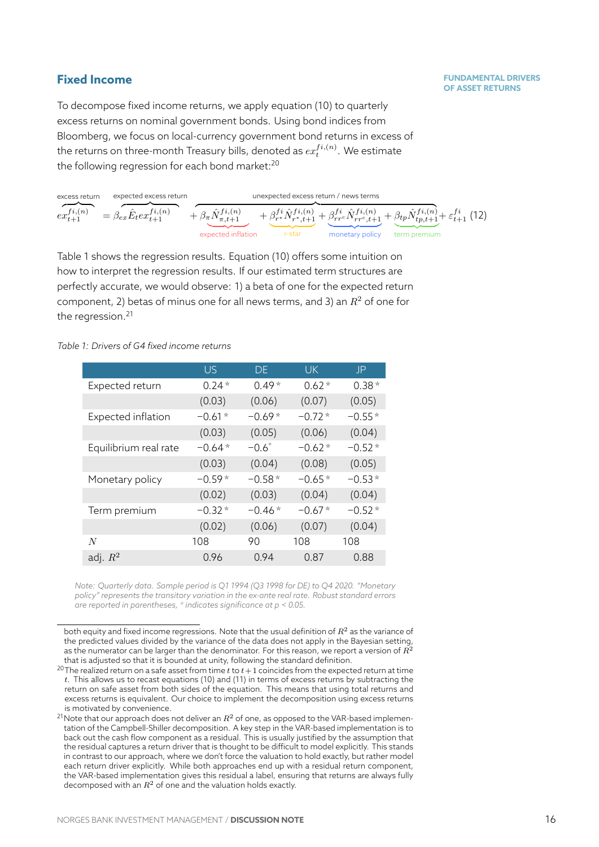# **Fixed Income**

To decompose fixed income returns, we apply equation (10) to quarterly excess returns on nominal government bonds. Using bond indices from Bloomberg, we focus on local-currency government bond returns in excess of the returns on three-month Treasury bills, denoted as  $ex_{t}^{f\,i,\left(n\right)}.$  We estimate the following regression for each bond market:<sup>20</sup>

| excess return       | expected excess return                    |                                                                                                                                                                                                              | unexpected excess return / news terms |                              |  |
|---------------------|-------------------------------------------|--------------------------------------------------------------------------------------------------------------------------------------------------------------------------------------------------------------|---------------------------------------|------------------------------|--|
| $ex_{t+1}^{fi,(n)}$ | $=\beta_{ex}\hat{E}_t e x_{t+1}^{f_i(n)}$ | $+\beta_{\pi}\hat{N}_{\pi,t+1}^{f_i,(n)}$ $+\beta_{r}^{f_i}\hat{N}_{r^*,t+1}^{f_i,(n)} + \beta_{rr}^{f_i}\hat{N}_{rr^*,t+1}^{f_i,(n)} + \beta_{tp}\hat{N}_{tp,t+1}^{f_i,(n)} + \varepsilon_{t+1}^{f_i}$ (12) |                                       |                              |  |
|                     |                                           | expected inflation                                                                                                                                                                                           | r-star                                | monetary policy term premium |  |

<span id="page-16-2"></span>Table 1 shows the regression results. Equation (10) offers some intuition on how to interpret the regression results. If our estimated term structures are perfectly accurate, we would observe: 1) a beta of one for the expected return com[po](#page-16-1)nent, 2) betas of minus one for all news [term](#page-15-0)s, and 3) an *R*<sup>2</sup> of one for the regression.<sup>21</sup>

### *Table 1: Drivers of G4 fixed income returns*

<span id="page-16-1"></span>

|                       | US.      | DE.      | UK.      | P        |
|-----------------------|----------|----------|----------|----------|
| Expected return       | $0.24*$  | $0.49*$  | $0.62*$  | $0.38*$  |
|                       | (0.03)   | (0.06)   | (0.07)   | (0.05)   |
| Expected inflation    | $-0.61*$ | $-0.69*$ | $-0.72*$ | $-0.55*$ |
|                       | (0.03)   | (0.05)   | (0.06)   | (0.04)   |
| Equilibrium real rate | $-0.64*$ | $-0.6^*$ | $-0.62*$ | $-0.52*$ |
|                       | (0.03)   | (0.04)   | (0.08)   | (0.05)   |
| Monetary policy       | $-0.59*$ | $-0.58*$ | $-0.65*$ | $-0.53*$ |
|                       | (0.02)   | (0.03)   | (0.04)   | (0.04)   |
| Term premium          | $-0.32*$ | $-0.46*$ | $-0.67*$ | $-0.52*$ |
|                       | (0.02)   | (0.06)   | (0.07)   | (0.04)   |
| N                     | 108      | 90       | 108      | 108      |
| adj. $R^2$            | 0.96     | 0.94     | 0.87     | 0.88     |

*Note: Quarterly data. Sample period is Q1 1994 (Q3 1998 for DE) to Q4 2020. "Monetary policy" represents the transitory variation in the ex-ante real rate. Robust standard errors are reported in parentheses, \* indicates significance at p < 0.05.*

both equity and fixed income regressions. Note that the usual definition of *R*<sup>2</sup> as the variance of the predicted values divided by the variance of the data does not apply in the Bayesian setting, as the numerator can be larger than the denominator. For this reason, we report a version of *R*<sup>2</sup> that is adjusted so that it is bounded at unity, following the standard definition.

<sup>20</sup>The realized return on a safe asset from time *t* to *t*+ 1 coincides from the expected return at time *t*. This allows us to recast equations (10) and (11) in terms of excess returns by subtracting the return on safe asset from both sides of the equation. This means that using total returns and excess returns is equivalent. Our choice to implement the decomposition using excess returns is motivated by convenience.

<span id="page-16-0"></span><sup>&</sup>lt;sup>21</sup> Note that our approach does not deliver an  $R^2$  of one, as opposed to the VAR-based implementation of the Campbell-Shiller decomp[osi](#page-15-0)tion. [A k](#page-15-1)ey step in the VAR-based implementation is to back out the cash flow component as a residual. This is usually justified by the assumption that the residual captures a return driver that is thought to be difficult to model explicitly. This stands in contrast to our approach, where we don't force the valuation to hold exactly, but rather model each return driver explicitly. While both approaches end up with a residual return component, the VAR-based implementation gives this residual a label, ensuring that returns are always fully decomposed with an *R*<sup>2</sup> of one and the valuation holds exactly.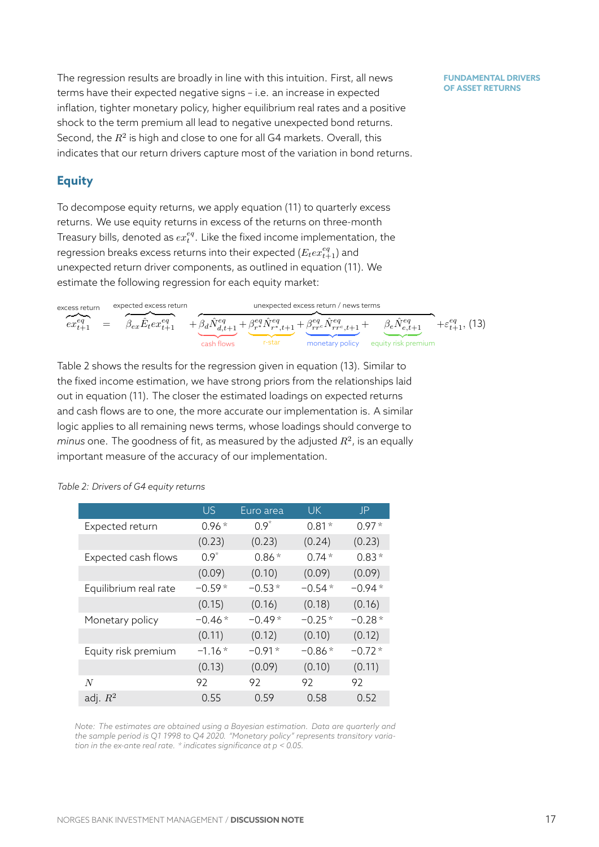The regression results are broadly in line with this intuition. First, all news terms have their expected negative signs – i.e. an increase in expected inflation, tighter monetary policy, higher equilibrium real rates and a positive shock to the term premium all lead to negative unexpected bond returns. Second, the  $R^2$  is high and close to one for all G4 markets. Overall, this indicates that our return drivers capture most of the variation in bond returns.

# **Equity**

To decompose equity returns, we apply equation (11) to quarterly excess returns. We use equity returns in excess of the returns on three-month Treasury bills, denoted as  $ex_t^{eq}.$  Like the fixed income implementation, the regression breaks excess returns into their expected  $(E_{t}e x_{t+1}^{eq})$  and unexpected return driver components, as outlined in equation (11). We estimate the following regression for each equity market:

excess return 
$$
\overbrace{ex_{t+1}^{eq}}^{\text{expected excess return}} = \overbrace{\beta_{ex}\hat{E}_{t}ex_{t+1}^{eq}}^{\text{expected excess return}} + \underbrace{\overbrace{\beta_{d}\hat{N}_{d,t+1}^{eq}}^{\text{unexpected excess return / news terms}}}_{\text{cash flows}} + \underbrace{\beta_{r}^{eq}\hat{N}_{r^{re},t+1}^{eq} + \beta_{rr^{c}}^{\text{eq}}\hat{N}_{rr^{c},t+1}^{eq}}_{\text{monetary policy} \neq \text{output risk premium}} + \varepsilon_{t+1}^{eq}, (13)
$$

<span id="page-17-1"></span>Table 2 shows the results for the regression given in equation (13). Similar to the fixed income estimation, we have strong priors from the relationships laid out in equation (11). The closer the estimated loadings on expected returns and c[as](#page-17-0)h flows are to one, the more accurate our implementa[tion](#page-17-1) is. A similar logic applies to all remaining news terms, whose loadings should converge to  $m$ inus one. The [go](#page-15-1)odness of fit, as measured by the adjusted  $R^2$ , is an equally important measure of the accuracy of our implementation.

<span id="page-17-0"></span>

|                       | US.       | Euro area | <b>UK</b> | JP       |
|-----------------------|-----------|-----------|-----------|----------|
| Expected return       | $0.96*$   | $0.9^{*}$ | $0.81*$   | $0.97*$  |
|                       | (0.23)    | (0.23)    | (0.24)    | (0.23)   |
| Expected cash flows   | $0.9^{*}$ | $0.86*$   | $0.74*$   | $0.83*$  |
|                       | (0.09)    | (0.10)    | (0.09)    | (0.09)   |
| Equilibrium real rate | $-0.59*$  | $-0.53*$  | $-0.54*$  | $-0.94*$ |
|                       | (0.15)    | (0.16)    | (0.18)    | (0.16)   |
| Monetary policy       | $-0.46*$  | $-0.49*$  | $-0.25*$  | $-0.28*$ |
|                       | (0.11)    | (0.12)    | (0.10)    | (0.12)   |
| Equity risk premium   | $-1.16*$  | $-0.91*$  | $-0.86*$  | $-0.72*$ |
|                       | (0.13)    | (0.09)    | (0.10)    | (0.11)   |
| N                     | 92        | 92        | 92        | 92       |
| adj. $R^2$            | 0.55      | 0.59      | 0.58      | 0.52     |

*Table 2: Drivers of G4 equity returns*

*Note: The estimates are obtained using a Bayesian estimation. Data are quarterly and the sample period is Q1 1998 to Q4 2020. "Monetary policy" represents transitory variation in the ex-ante real rate. \* indicates significance at p < 0.05.*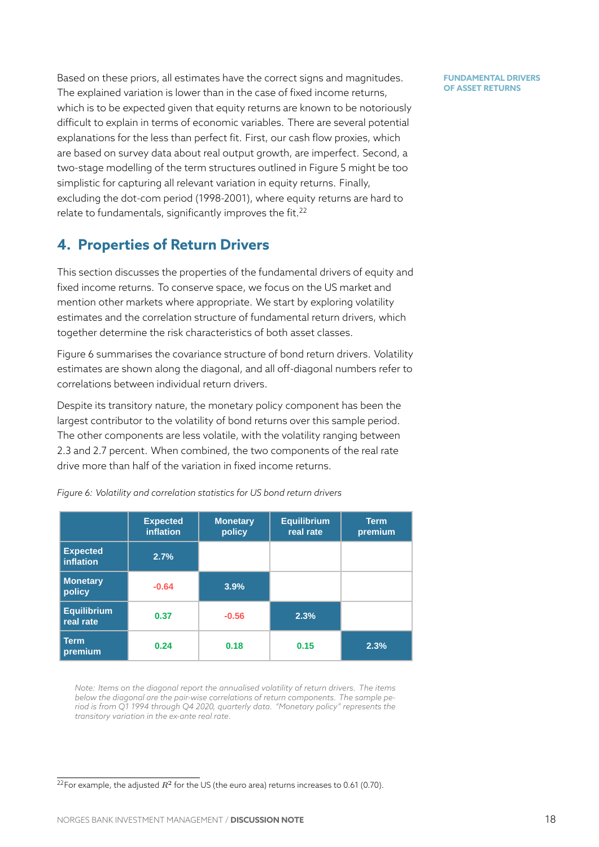Based on these priors, all estimates have the correct signs and magnitudes. The explained variation is lower than in the case of fixed income returns, which is to be expected given that equity returns are known to be notoriously difficult to explain in terms of economic variables. There are several potential explanations for the less than perfect fit. First, our cash flow proxies, which are based on survey data about real output growth, are imperfect. Second, a two-stage modelling of the term structures outlined in Figure 5 might be too simplistic for capturing all relevant variation in equity returns. Finally, excluding the dot-com period (1998-2001), where equity returns are hard to relate to fundamentals, significantly improves the fit.<sup>22</sup>

# **4. Properties of Return Drivers**

<span id="page-18-0"></span>This section discusses the properties of the fundamental drivers of equity and fixed income returns. To conserve space, we focus on the US market and mention other markets where appropriate. We start by exploring volatility estimates and the correlation structure of fundamental return drivers, which together determine the risk characteristics of both asset classes.

Figure 6 summarises the covariance structure of bond return drivers. Volatility estimates are shown along the diagonal, and all off-diagonal numbers refer to correlations between individual return drivers.

Despit[e](#page-18-1) its transitory nature, the monetary policy component has been the largest contributor to the volatility of bond returns over this sample period. The other components are less volatile, with the volatility ranging between 2.3 and 2.7 percent. When combined, the two components of the real rate drive more than half of the variation in fixed income returns.

<span id="page-18-1"></span>

|                                 | <b>Expected</b><br><i>inflation</i> | <b>Monetary</b><br>policy | <b>Equilibrium</b><br>real rate | <b>Term</b><br>premium |
|---------------------------------|-------------------------------------|---------------------------|---------------------------------|------------------------|
| <b>Expected</b><br>inflation    | 2.7%                                |                           |                                 |                        |
| <b>Monetary</b><br>policy       | $-0.64$                             | 3.9%                      |                                 |                        |
| <b>Equilibrium</b><br>real rate | 0.37                                | $-0.56$                   | 2.3%                            |                        |
| Term<br>premium                 | 0.24                                | 0.18                      | 0.15                            | 2.3%                   |

*Figure 6: Volatility and correlation statistics for US bond return drivers*

*Note: Items on the diagonal report the annualised volatility of return drivers. The items below the diagonal are the pair-wise correlations of return components. The sample period is from Q1 1994 through Q4 2020, quarterly data. "Monetary policy" represents the transitory variation in the ex-ante real rate.*

 $^{22}$ For example, the adjusted  $R^2$  for the US (the euro area) returns increases to 0.61 (0.70).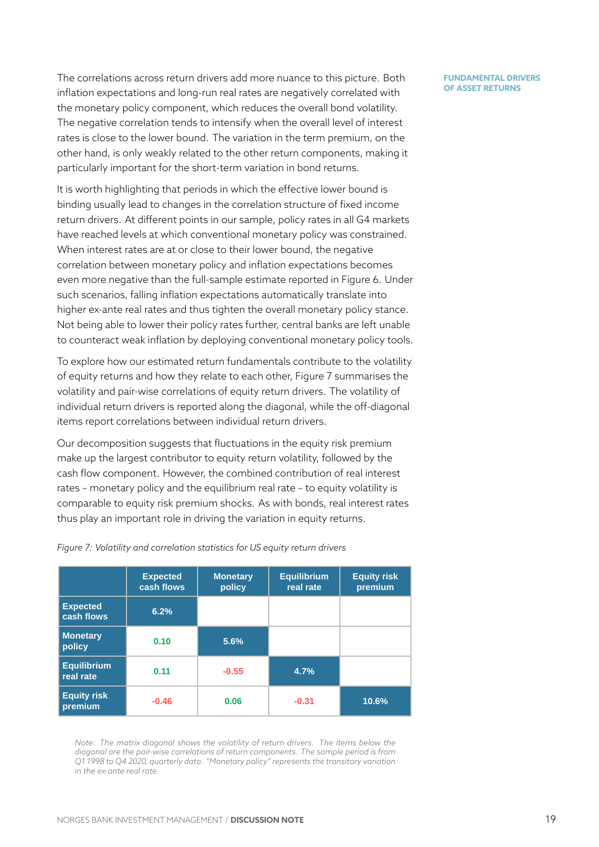The correlations across return drivers add more nuance to this picture. Both inflation expectations and long-run real rates are negatively correlated with the monetary policy component, which reduces the overall bond volatility. The negative correlation tends to intensify when the overall level of interest rates is close to the lower bound. The variation in the term premium, on the other hand, is only weakly related to the other return components, making it particularly important for the short-term variation in bond returns.

It is worth highlighting that periods in which the effective lower bound is binding usually lead to changes in the correlation structure of fixed income return drivers. At different points in our sample, policy rates in all G4 markets have reached levels at which conventional monetary policy was constrained. When interest rates are at or close to their lower bound, the negative correlation between monetary policy and inflation expectations becomes even more negative than the full-sample estimate reported in Figure 6. Under such scenarios, falling inflation expectations automatically translate into higher ex-ante real rates and thus tighten the overall monetary policy stance. Not being able to lower their policy rates further, central banks are lef[t](#page-18-1) unable to counteract weak inflation by deploying conventional monetary policy tools.

To explore how our estimated return fundamentals contribute to the volatility of equity returns and how they relate to each other, Figure 7 summarises the volatility and pair-wise correlations of equity return drivers. The volatility of individual return drivers is reported along the diagonal, while the off-diagonal items report correlations between individual return drivers.

Our decomposition suggests that fluctuations in the equity risk premium make up the largest contributor to equity return volatility, followed by the cash flow component. However, the combined contribution of real interest rates – monetary policy and the equilibrium real rate – to equity volatility is comparable to equity risk premium shocks. As with bonds, real interest rates thus play an important role in driving the variation in equity returns.

<span id="page-19-0"></span>

|                                 | <b>Expected</b><br>cash flows | <b>Monetary</b><br>policy | <b>Equilibrium</b><br>real rate | <b>Equity risk</b><br>premium |
|---------------------------------|-------------------------------|---------------------------|---------------------------------|-------------------------------|
| <b>Expected</b><br>cash flows   | 6.2%                          |                           |                                 |                               |
| <b>Monetary</b><br>policy       | 0.10                          | 5.6%                      |                                 |                               |
| <b>Equilibrium</b><br>real rate | 0.11                          | $-0.55$                   | 4.7%                            |                               |
| <b>Equity risk</b><br>premium   | $-0.46$                       | 0.06                      | $-0.31$                         | 10.6%                         |

*Figure 7: Volatility and correlation statistics for US equity return drivers*

*Note: The matrix diagonal shows the volatility of return drivers. The items below the diagonal are the pair-wise correlations of return components. The sample period is from Q1 1998 to Q4 2020, quarterly data. "Monetary policy" represents the transitory variation in the ex-ante real rate.*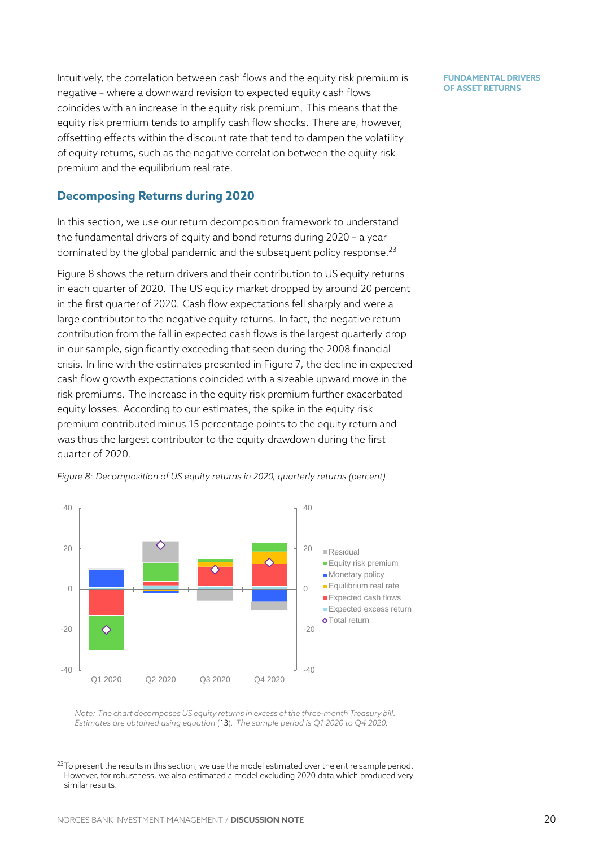Intuitively, the correlation between cash flows and the equity risk premium is negative – where a downward revision to expected equity cash flows coincides with an increase in the equity risk premium. This means that the equity risk premium tends to amplify cash flow shocks. There are, however, offsetting effects within the discount rate that tend to dampen the volatility of equity returns, such as the negative correlation between the equity risk premium and the equilibrium real rate.

### **Decomposing Returns during 2020**

In this section, we use our return decomposition framework to understand the fundamental drivers of equity and bond returns during 2020 – a year dominated by the global pandemic and the subsequent policy response.<sup>23</sup>

Figure 8 shows the return drivers and their contribution to US equity returns in each quarter of 2020. The US equity market dropped by around 20 percent in the first quarter of 2020. Cash flow expectations fell sharply and were [a](#page-20-0) large c[on](#page-20-1)tributor to the negative equity returns. In fact, the negative return contribution from the fall in expected cash flows is the largest quarterly drop in our sample, significantly exceeding that seen during the 2008 financial crisis. In line with the estimates presented in Figure 7, the decline in expected cash flow growth expectations coincided with a sizeable upward move in the risk premiums. The increase in the equity risk premium further exacerbated equity losses. According to our estimates, the spike [in](#page-19-0) the equity risk premium contributed minus 15 percentage points to the equity return and was thus the largest contributor to the equity drawdown during the first quarter of 2020.

<span id="page-20-1"></span>

*Figure 8: Decomposition of US equity returns in 2020, quarterly returns (percent)*

*Note: The chart decomposes US equity returns in excess of the three-month Treasury bill. Estimates are obtained using equation* (13)*. The sample period is Q1 2020 to Q4 2020.*

<span id="page-20-0"></span> $23$ To present the results in this section, we use the model estimated over the entire sample period. However, for robustness, we also estimat[ed a](#page-17-1) model excluding 2020 data which produced very similar results.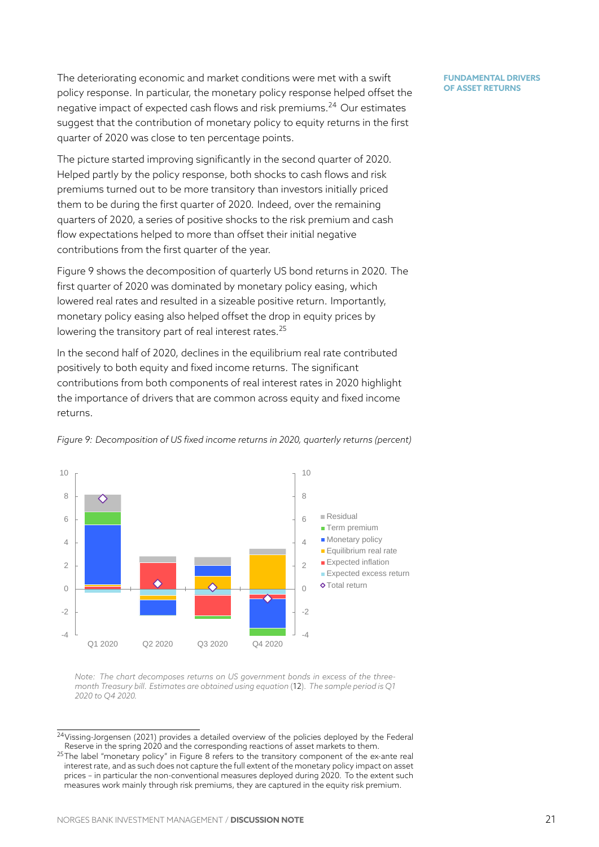The deteriorating economic and market conditions were met with a swift policy response. In particular, the monetary policy response helped offset the negative impact of expected cash flows and risk premiums.<sup>24</sup> Our estimates suggest that the contribution of monetary policy to equity returns in the first quarter of 2020 was close to ten percentage points.

The picture started improving significantly in the second q[uar](#page-21-0)ter of 2020. Helped partly by the policy response, both shocks to cash flows and risk premiums turned out to be more transitory than investors initially priced them to be during the first quarter of 2020. Indeed, over the remaining quarters of 2020, a series of positive shocks to the risk premium and cash flow expectations helped to more than offset their initial negative contributions from the first quarter of the year.

Figure 9 shows the decomposition of quarterly US bond returns in 2020. The first quarter of 2020 was dominated by monetary policy easing, which lowered real rates and resulted in a sizeable positive return. Importantly, monet[ar](#page-21-1)y policy easing also helped offset the drop in equity prices by lowering the transitory part of real interest rates. $25$ 

In the second half of 2020, declines in the equilibrium real rate contributed positively to both equity and fixed income returns. The significant contributions from both components of real int[ere](#page-21-2)st rates in 2020 highlight the importance of drivers that are common across equity and fixed income returns.

<span id="page-21-1"></span>

*Figure 9: Decomposition of US fixed income returns in 2020, quarterly returns (percent)*

*Note: The chart decomposes returns on US government bonds in excess of the threemonth Treasury bill. Estimates are obtained using equation* (12)*. The sample period is Q1 2020 to Q4 2020.*

 $24$ Vissing-Jorgensen (2021) provides a detailed overview of the [po](#page-16-2)licies deployed by the Federal Reserve in the spring 2020 and the corresponding reactions of asset markets to them.

<span id="page-21-2"></span><span id="page-21-0"></span> $25$ The label "monetary policy" in Figure 8 refers to the transitory component of the ex-ante real interest rate, and as such does not capture the full extent of the monetary policy impact on asset prices – in particular the non-conventional measures deployed during 2020. To the extent such [measures work ma](#page-25-3)i[nly th](#page-25-3)rough risk premiums, they are captured in the equity risk premium.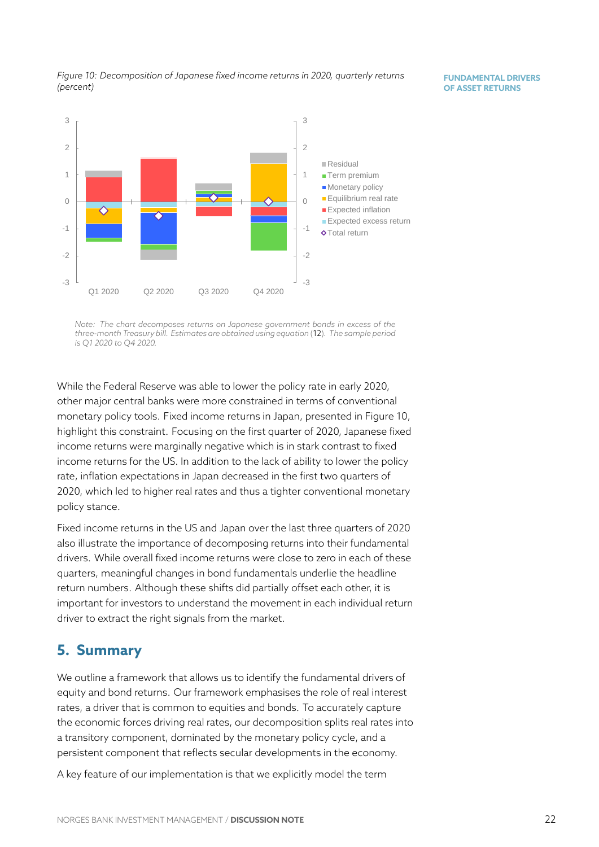*Figure 10: Decomposition of Japanese fixed income returns in 2020, quarterly returns (percent)*

<span id="page-22-1"></span>

*Note: The chart decomposes returns on Japanese government bonds in excess of the three-month Treasury bill. Estimates are obtained using equation* (12)*. The sample period is Q1 2020 to Q4 2020.*

While the Federal Reserve was able to lower the policyr[ate](#page-16-2) in early 2020, other major central banks were more constrained in terms of conventional monetary policy tools. Fixed income returns in Japan, presented in Figure 10, highlight this constraint. Focusing on the first quarter of 2020, Japanese fixed income returns were marginally negative which is in stark contrast to fixed income returns for the US. In addition to the lack of ability to lower the pol[icy](#page-22-1) rate, inflation expectations in Japan decreased in the first two quarters of 2020, which led to higher real rates and thus a tighter conventional monetary policy stance.

Fixed income returns in the US and Japan over the last three quarters of 2020 also illustrate the importance of decomposing returns into their fundamental drivers. While overall fixed income returns were close to zero in each of these quarters, meaningful changes in bond fundamentals underlie the headline return numbers. Although these shifts did partially offset each other, it is important for investors to understand the movement in each individual return driver to extract the right signals from the market.

# **5. Summary**

<span id="page-22-0"></span>We outline a framework that allows us to identify the fundamental drivers of equity and bond returns. Our framework emphasises the role of real interest rates, a driver that is common to equities and bonds. To accurately capture the economic forces driving real rates, our decomposition splits real rates into a transitory component, dominated by the monetary policy cycle, and a persistent component that reflects secular developments in the economy.

A key feature of our implementation is that we explicitly model the term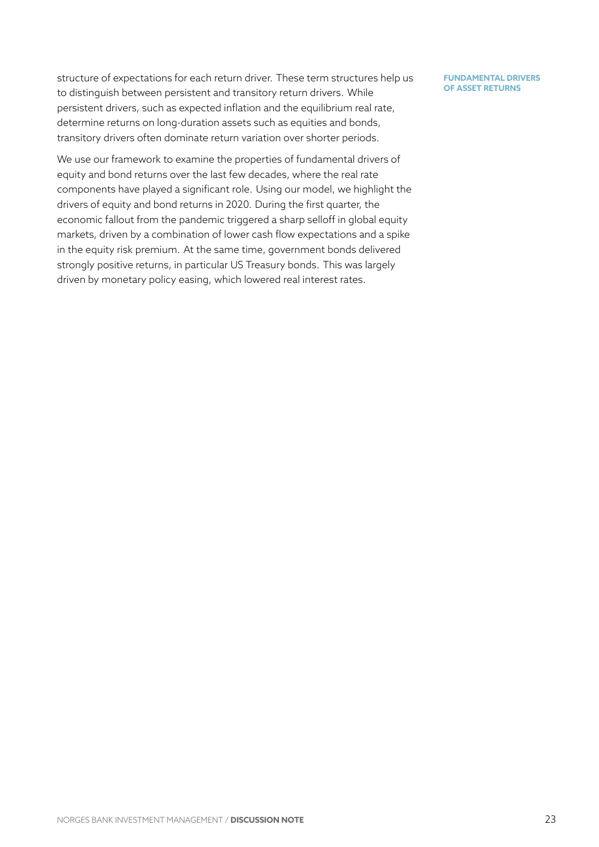structure of expectations for each return driver. These term structures help us to distinguish between persistent and transitory return drivers. While persistent drivers, such as expected inflation and the equilibrium real rate, determine returns on long-duration assets such as equities and bonds, transitory drivers often dominate return variation over shorter periods.

We use our framework to examine the properties of fundamental drivers of equity and bond returns over the last few decades, where the real rate components have played a significant role. Using our model, we highlight the drivers of equity and bond returns in 2020. During the first quarter, the economic fallout from the pandemic triggered a sharp selloff in global equity markets, driven by a combination of lower cash flow expectations and a spike in the equity risk premium. At the same time, government bonds delivered strongly positive returns, in particular US Treasury bonds. This was largely driven by monetary policy easing, which lowered real interest rates.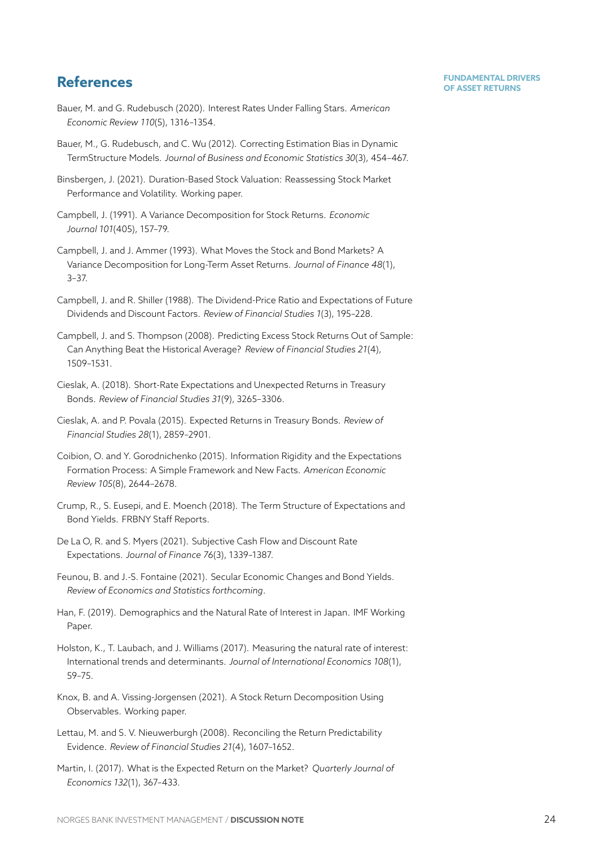# **FUNDAMENTAL DRIVERS References OF ASSET RETURNS**

- <span id="page-24-0"></span>Bauer, M. and G. Rudebusch (2020). Interest Rates Under Falling Stars. *American Economic Review 110*(5), 1316–1354.
- <span id="page-24-7"></span>Bauer, M., G. Rudebusch, and C. Wu (2012). Correcting Estimation Bias in Dynamic TermStructure Models. *Journal of Business and Economic Statistics 30*(3), 454–467.
- Binsbergen, J. (2021). Duration-Based Stock Valuation: Reassessing Stock Market Performance and Volatility. Working paper.
- <span id="page-24-5"></span>Campbell, J. (1991). A Variance Decomposition for Stock Returns. *Economic Journal 101*(405), 157–79.
- <span id="page-24-6"></span>Campbell, J. and J. Ammer (1993). What Moves the Stock and Bond Markets? A Variance Decomposition for Long-Term Asset Returns. *Journal of Finance 48*(1), 3–37.
- <span id="page-24-4"></span>Campbell, J. and R. Shiller (1988). The Dividend-Price Ratio and Expectations of Future Dividends and Discount Factors. *Review of Financial Studies 1*(3), 195–228.
- <span id="page-24-14"></span>Campbell, J. and S. Thompson (2008). Predicting Excess Stock Returns Out of Sample: Can Anything Beat the Historical Average? *Review of Financial Studies 21*(4), 1509–1531.
- Cieslak, A. (2018). Short-Rate Expectations and Unexpected Returns in Treasury Bonds. *Review of Financial Studies 31*(9), 3265–3306.
- <span id="page-24-12"></span>Cieslak, A. and P. Povala (2015). Expected Returns in Treasury Bonds. *Review of Financial Studies 28*(1), 2859–2901.
- Coibion, O. and Y. Gorodnichenko (2015). Information Rigidity and the Expectations Formation Process: A Simple Framework and New Facts. *American Economic Review 105*(8), 2644–2678.
- <span id="page-24-3"></span>Crump, R., S. Eusepi, and E. Moench (2018). The Term Structure of Expectations and Bond Yields. FRBNY Staff Reports.
- <span id="page-24-8"></span>De La O, R. and S. Myers (2021). Subjective Cash Flow and Discount Rate Expectations. *Journal of Finance 76*(3), 1339–1387.
- <span id="page-24-2"></span>Feunou, B. and J.-S. Fontaine (2021). Secular Economic Changes and Bond Yields. *Review of Economics and Statistics forthcoming*.
- <span id="page-24-11"></span>Han, F. (2019). Demographics and the Natural Rate of Interest in Japan. IMF Working Paper.
- <span id="page-24-10"></span>Holston, K., T. Laubach, and J. Williams (2017). Measuring the natural rate of interest: International trends and determinants. *Journal of International Economics 108*(1), 59–75.
- <span id="page-24-9"></span>Knox, B. and A. Vissing-Jorgensen (2021). A Stock Return Decomposition Using Observables. Working paper.
- <span id="page-24-1"></span>Lettau, M. and S. V. Nieuwerburgh (2008). Reconciling the Return Predictability Evidence. *Review of Financial Studies 21*(4), 1607–1652.
- <span id="page-24-13"></span>Martin, I. (2017). What is the Expected Return on the Market? *Quarterly Journal of Economics 132*(1), 367–433.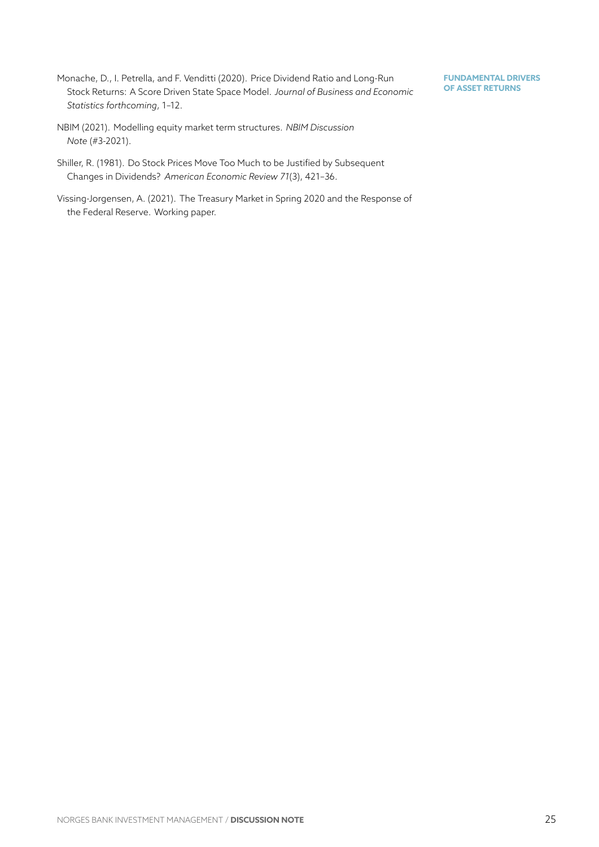<span id="page-25-1"></span>Monache, D., I. Petrella, and F. Venditti (2020). Price Dividend Ratio and Long-Run Stock Returns: A Score Driven State Space Model. *Journal of Business and Economic Statistics forthcoming*, 1–12.

- <span id="page-25-0"></span>NBIM (2021). Modelling equity market term structures. *NBIM Discussion Note* (#3-2021).
- <span id="page-25-2"></span>Shiller, R. (1981). Do Stock Prices Move Too Much to be Justified by Subsequent Changes in Dividends? *American Economic Review 71*(3), 421–36.
- <span id="page-25-3"></span>Vissing-Jorgensen, A. (2021). The Treasury Market in Spring 2020 and the Response of the Federal Reserve. Working paper.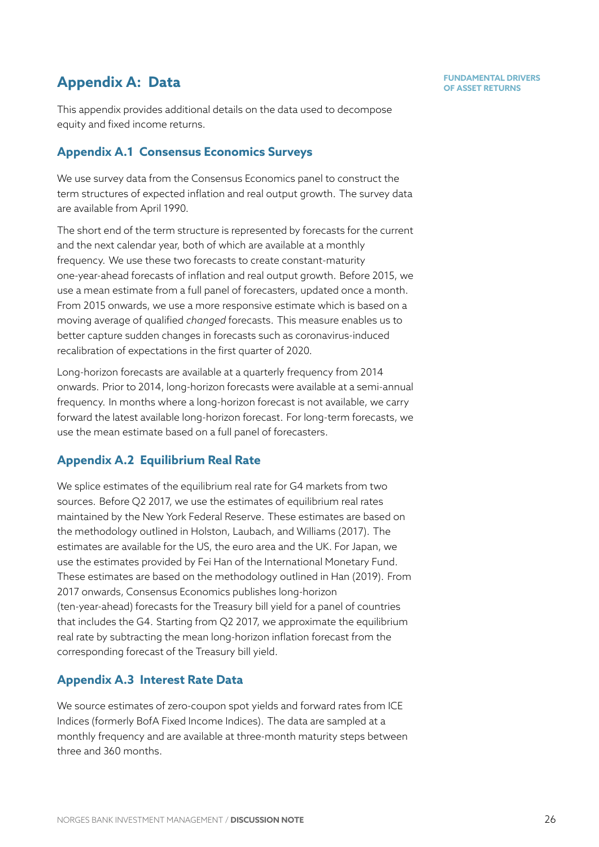# **Appendix A: Data CONSTRUCTERS Appendix A: Data CONSTRUCTERS CONSTRUCTERS OF ASSET RETURNS**

This appendix provides additional details on the data used to decompose equity and fixed income returns.

# **Appendix A.1 Consensus Economics Surveys**

We use survey data from the Consensus Economics panel to construct the term structures of expected inflation and real output growth. The survey data are available from April 1990.

The short end of the term structure is represented by forecasts for the current and the next calendar year, both of which are available at a monthly frequency. We use these two forecasts to create constant-maturity one-year-ahead forecasts of inflation and real output growth. Before 2015, we use a mean estimate from a full panel of forecasters, updated once a month. From 2015 onwards, we use a more responsive estimate which is based on a moving average of qualified *changed* forecasts. This measure enables us to better capture sudden changes in forecasts such as coronavirus-induced recalibration of expectations in the first quarter of 2020.

Long-horizon forecasts are available at a quarterly frequency from 2014 onwards. Prior to 2014, long-horizon forecasts were available at a semi-annual frequency. In months where a long-horizon forecast is not available, we carry forward the latest available long-horizon forecast. For long-term forecasts, we use the mean estimate based on a full panel of forecasters.

# **Appendix A.2 Equilibrium Real Rate**

<span id="page-26-0"></span>We splice estimates of the equilibrium real rate for G4 markets from two sources. Before Q2 2017, we use the estimates of equilibrium real rates maintained by the New York Federal Reserve. These estimates are based on the methodology outlined in Holston, Laubach, and Williams (2017). The estimates are available for the US, the euro area and the UK. For Japan, we use the estimates [provided by Fei Han of the](https://www.newyorkfed.org/research/policy/rstar) International Monetary Fund. These estimates are based o[n the methodology outlined in](#page-24-10) Han [\(20](#page-24-10)19). From 2017 onwards, Consensus Economics publishes long-horizon (ten-year-ahead) forecasts for the Treasury bill yield for a panel of countries that includes the G4. Starting from Q2 2017, we approximat[e the equil](#page-24-11)ibrium real rate by subtracting the mean long-horizon inflation forecast from the corresponding forecast of the Treasury bill yield.

# **Appendix A.3 Interest Rate Data**

<span id="page-26-1"></span>We source estimates of zero-coupon spot yields and forward rates from ICE Indices (formerly BofA Fixed Income Indices). The data are sampled at a monthly frequency and are available at three-month maturity steps between three and 360 months.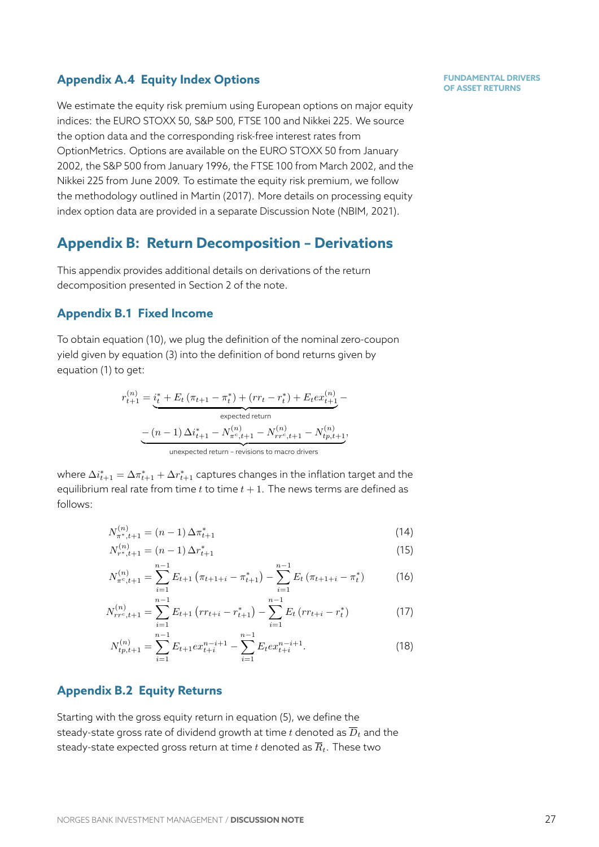### **Appendix A.4 Equity Index Options**

We estimate the equity risk premium using European options on major equity indices: the EURO STOXX 50, S&P 500, FTSE 100 and Nikkei 225. We source the option data and the corresponding risk-free interest rates from OptionMetrics. Options are available on the EURO STOXX 50 from January 2002, the S&P 500 from January 1996, the FTSE 100 from March 2002, and the Nikkei 225 from June 2009. To estimate the equity risk premium, we follow the methodology outlined in Martin (2017). More details on processing equity index option data are provided in a separate Discussion Note (NBIM, 2021).

# **Appendix B: Retur[n Decomp](#page-24-13)osition – Derivations**

This appendix provides additional details on derivations of the [return](#page-25-0) decomposition presented in Section 2 of the note.

### **Appendix B.1 Fixed Income**

To obtain equation (10), we plug the [d](#page-3-0)efinition of the nominal zero-coupon yield given by equation (3) into the definition of bond returns given by equation (1) to get:

$$
r_{t+1}^{(n)} = \underbrace{i_t^* + E_t \left(\pi_{t+1} - \pi_t^*\right) + \left(r r_t - r_t^*\right) + E_t e x_{t+1}^{(n)}}_{\text{expected return}}
$$
\n
$$
- \underbrace{\left(n-1\right) \Delta i_{t+1}^* - N_{\pi^c, t+1}^{(n)} - N_{rr^c, t+1}^{(n)} - N_{tp, t+1}^{(n)}}_{\text{unexpected return - revisions to macro drivers}},
$$

where  $\Delta i^*_{t+1} = \Delta\pi^*_{t+1} + \Delta r^*_{t+1}$  captures changes in the inflation target and the equilibrium real rate from time  $t$  to time  $t + 1$ . The news terms are defined as follows:

$$
N_{\pi^*, t+1}^{(n)} = (n-1) \Delta \pi_{t+1}^* \tag{14}
$$

$$
N_{r^*,t+1}^{(n)} = (n-1)\,\Delta r_{t+1}^* \tag{15}
$$

$$
N_{\pi^c,t+1}^{(n)} = \sum_{i=1}^{n-1} E_{t+1} \left( \pi_{t+1+i} - \pi_{t+1}^* \right) - \sum_{i=1}^{n-1} E_t \left( \pi_{t+1+i} - \pi_t^* \right) \tag{16}
$$

$$
N_{rr^c,t+1}^{(n)} = \sum_{i=1}^{n-1} E_{t+1} \left( rr_{t+i} - r_{t+1}^* \right) - \sum_{i=1}^{n-1} E_t \left( rr_{t+i} - r_t^* \right) \tag{17}
$$

<span id="page-27-2"></span>
$$
N_{tp,t+1}^{(n)} = \sum_{i=1}^{n-1} E_{t+1} e x_{t+i}^{n-i+1} - \sum_{i=1}^{n-1} E_t e x_{t+i}^{n-i+1}.
$$
 (18)

### **Appendix B.2 Equity Returns**

<span id="page-27-1"></span>(*n*)

<span id="page-27-0"></span>Starting with the gross equity return in equation (5), we define the steady-state gross rate of dividend growth at time  $t$  denoted as  $\overline{D}_t$  and the steady-state expected gross return at time  $t$  denoted as  $\overline{R}_t$ . These two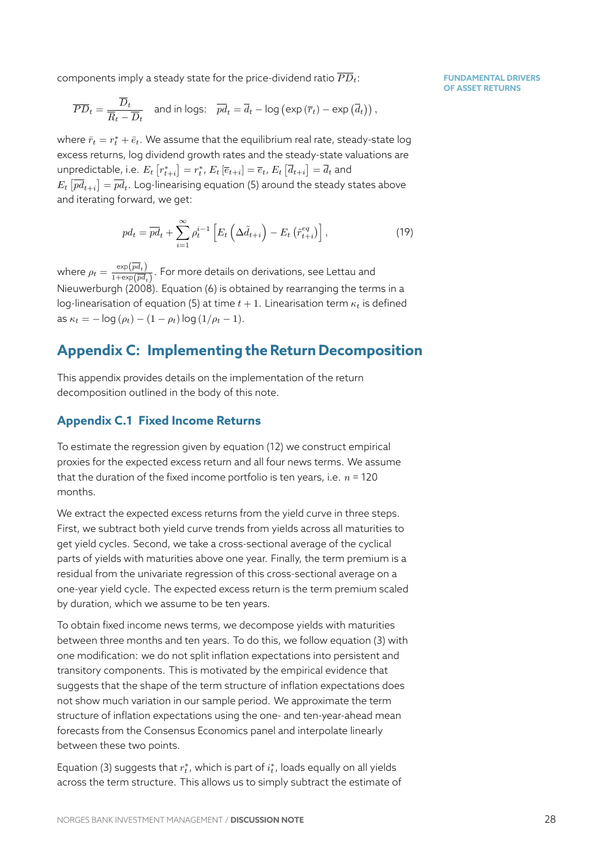components imply a steady state for the price-dividend ratio  $\overline{PD}_t$ :

$$
\overline{PD}_t = \frac{\overline{D}_t}{\overline{R}_t - \overline{D}_t} \quad \text{and in logs:} \quad \overline{pd}_t = \overline{d}_t - \log\left(\exp\left(\overline{r}_t\right) - \exp\left(\overline{d}_t\right)\right),
$$

where  $\bar{r}_t = r_t^* + \bar{e}_t.$  We assume that the equilibrium real rate, steady-state log excess returns, log dividend growth rates and the steady-state valuations are unpredictable, i.e.  $E_t\left[r^*_{t+i}\right]=r^*_t$ ,  $E_t\left[\overline{e}_{t+i}\right]=\overline{e}_t$ ,  $E_t\left[\overline{d}_{t+i}\right]=\overline{d}_t$  and  $E_t\left[\overline{pd}_{t+i}\right]=\overline{pd}_t.$  Log-linearising equation (5) around the steady states above and iterating forward, we get:

$$
pd_t = \overline{pd}_t + \sum_{i=1}^{\infty} \rho_t^{i-1} \left[ E_t \left( \Delta \tilde{d}_{t+i} \right) - E_t \left( \tilde{r}_{t+i}^{eq} \right) \right], \tag{19}
$$

where  $\rho_t = \frac{\exp(\overline{pd}_t)}{1+\exp(\overline{pd}_t)}$  $\frac{exp(P\theta_{t})}{1+exp(\overline{pd}_{t})}$ . For more details on derivations, see Lettau and Nieuwerburgh (2008). Equation (6) is obtained by rearranging the terms in a log-linearisation of equation (5) at time  $t + 1$ . Linearisation term  $\kappa_t$  is defined  $\int \text{d}s \kappa_t = -\log(\rho_t) - (1 - \rho_t) \log(1/\rho_t - 1).$ 

# **[Appendix C:](#page-24-1) Imple[m](#page-8-2)e[n](#page-8-1)ting the Return Decomposition**

This appendix provides details on the implementation of the return decomposition outlined in the body of this note.

### **Appendix C.1 Fixed Income Returns**

<span id="page-28-0"></span>To estimate the regression given by equation (12) we construct empirical proxies for the expected excess return and all four news terms. We assume that the duration of the fixed income portfolio is ten years, i.e.  $n = 120$ months.

We extract the expected excess returns from the yield curve in three steps. First, we subtract both yield curve trends from yields across all maturities to get yield cycles. Second, we take a cross-sectional average of the cyclical parts of yields with maturities above one year. Finally, the term premium is a residual from the univariate regression of this cross-sectional average on a one-year yield cycle. The expected excess return is the term premium scaled by duration, which we assume to be ten years.

To obtain fixed income news terms, we decompose yields with maturities between three months and ten years. To do this, we follow equation (3) with one modification: we do not split inflation expectations into persistent and transitory components. This is motivated by the empirical evidence that suggests that the shape of the term structure of inflation expectation[s d](#page-6-2)oes not show much variation in our sample period. We approximate the term structure of inflation expectations using the one- and ten-year-ahead mean forecasts from the Consensus Economics panel and interpolate linearly between these two points.

Equation (3) suggests that  $r^*_t$  , which is part of  $i^*_t$  , loads equally on all yields across the term structure. This allows us to simply subtract the estimate of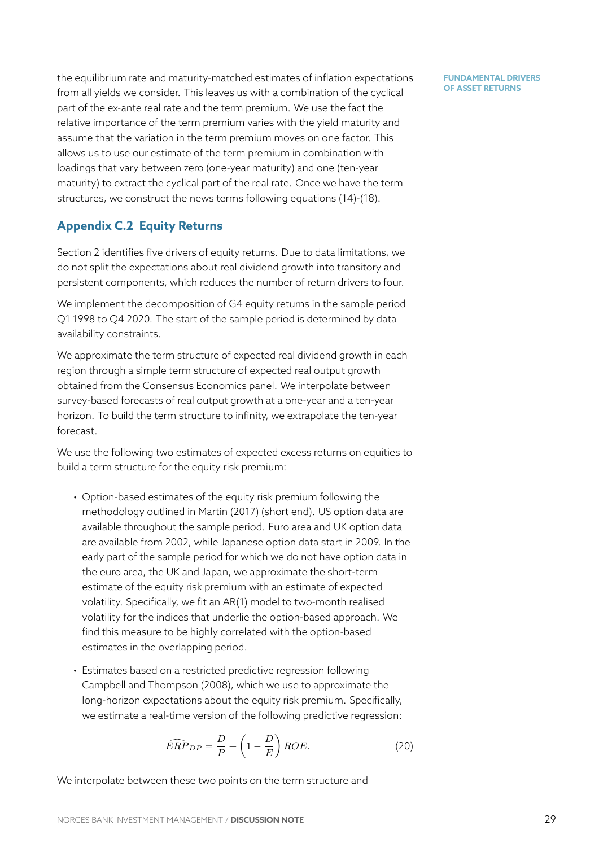the equilibrium rate and maturity-matched estimates of inflation expectations from all yields we consider. This leaves us with a combination of the cyclical part of the ex-ante real rate and the term premium. We use the fact the relative importance of the term premium varies with the yield maturity and assume that the variation in the term premium moves on one factor. This allows us to use our estimate of the term premium in combination with loadings that vary between zero (one-year maturity) and one (ten-year maturity) to extract the cyclical part of the real rate. Once we have the term structures, we construct the news terms following equations (14)-(18).

# **Appendix C.2 Equity Returns**

<span id="page-29-0"></span>Section 2 identifies five drivers of equity returns. Due to datal[imi](#page-27-1)t[atio](#page-27-2)ns, we do not split the expectations about real dividend growth into transitory and persistent components, which reduces the number of return drivers to four.

We imp[le](#page-3-0)ment the decomposition of G4 equity returns in the sample period Q1 1998 to Q4 2020. The start of the sample period is determined by data availability constraints.

We approximate the term structure of expected real dividend growth in each region through a simple term structure of expected real output growth obtained from the Consensus Economics panel. We interpolate between survey-based forecasts of real output growth at a one-year and a ten-year horizon. To build the term structure to infinity, we extrapolate the ten-year forecast.

We use the following two estimates of expected excess returns on equities to build a term structure for the equity risk premium:

- Option-based estimates of the equity risk premium following the methodology outlined in Martin (2017) (short end). US option data are available throughout the sample period. Euro area and UK option data are available from 2002, while Japanese option data start in 2009. In the early part of the sample [period for whi](#page-24-13)ch we do not have option data in the euro area, the UK and Japan, we approximate the short-term estimate of the equity risk premium with an estimate of expected volatility. Specifically, we fit an AR(1) model to two-month realised volatility for the indices that underlie the option-based approach. We find this measure to be highly correlated with the option-based estimates in the overlapping period.
- Estimates based on a restricted predictive regression following Campbell and Thompson (2008), which we use to approximate the long-horizon expectations about the equity risk premium. Specifically, we estimate a real-time version of the following predictive regression:

$$
\widehat{ERP}_{DP} = \frac{D}{P} + \left(1 - \frac{D}{E}\right) ROE. \tag{20}
$$

We interpolate between these two points on the term structure and